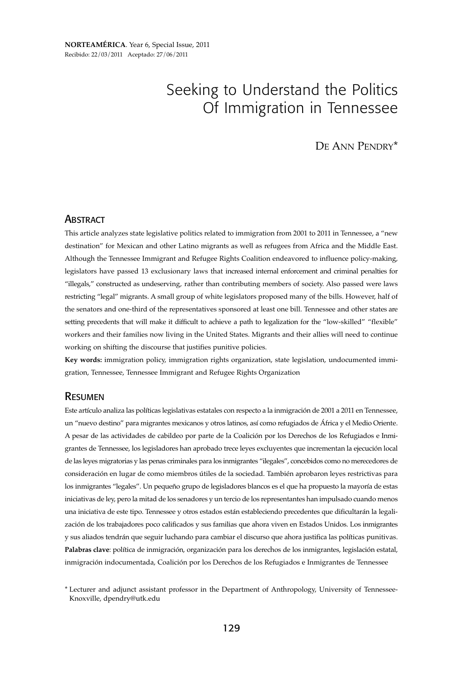# Seeking to Understand the Politics Of Immigration in Tennessee

DE ANN PENDRY\*

#### **ABSTRACT**

This article analyzes state legislative politics related to immigration from 2001 to 2011 in Tennessee, a "new destination" for Mexican and other Latino migrants as well as refugees from Africa and the Middle East. Although the Tennessee Immigrant and Refugee Rights Coalition endeavored to influence policy-making, legislators have passed 13 exclusionary laws that increased internal enforcement and criminal penalties for "illegals," constructed as undeserving, rather than contributing members of society. Also passed were laws restricting "legal" migrants. A small group of white legislators proposed many of the bills. However, half of the senators and one-third of the representatives sponsored at least one bill. Tennessee and other states are setting precedents that will make it difficult to achieve a path to legalization for the "low-skilled" "flexible" workers and their families now living in the United States. Migrants and their allies will need to continue working on shifting the discourse that justifies punitive policies.

**Key words:** immigration policy, immigration rights organization, state legislation, undocumented immigration, Tennessee, Tennessee Immigrant and Refugee Rights Organization

#### RESUMEN

Este artículo analiza las políticas legislativas estatales con respecto a la inmigración de 2001 a 2011 en Tennessee, un "nuevo destino" para migrantes mexicanos y otros latinos, así como refugiados de África y el Medio Oriente. A pesar de las actividades de cabildeo por parte de la Coalición por los Derechos de los Refugiados e Inmigrantes de Tennessee, los legisladores han aprobado trece leyes excluyentes que incrementan la ejecución local de las leyes migratorias y las penas criminales para los inmigrantes "ilegales", concebidos como no merecedores de consideración en lugar de como miembros útiles de la sociedad. También aprobaron leyes restrictivas para los inmigrantes "legales". Un pequeño grupo de legisladores blancos es el que ha propuesto la mayoría de estas iniciativas de ley, pero la mitad de los senadores y un tercio de los representantes han impulsado cuando menos una iniciativa de este tipo. Tennessee y otros estados están estableciendo precedentes que dificultarán la legalización de los trabajadores poco calificados y sus familias que ahora viven en Estados Unidos. Los inmigrantes y sus aliados tendrán que seguir luchando para cambiar el discurso que ahora justifica las políticas punitivas. **Palabras clave**: política de inmigración, organización para los derechos de los inmigrantes, legislación estatal, inmigración indocumentada, Coalición por los Derechos de los Refugiados e Inmigrantes de Tennessee

<sup>\*</sup> Lecturer and adjunct assistant professor in the Department of Anthropology, University of Tennessee-Knoxville, dpendry@utk.edu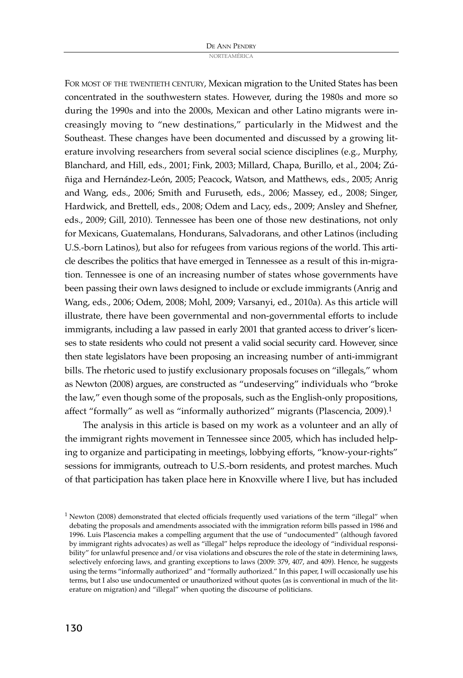NORTEAMÉRICA

FOR MOST OF THE TWENTIETH CENTURY, Mexican migration to the United States has been concentrated in the southwestern states. However, during the 1980s and more so during the 1990s and into the 2000s, Mexican and other Latino migrants were increasingly moving to "new destinations," particularly in the Midwest and the Southeast. These changes have been documented and discussed by a growing literature involving researchers from several social science disciplines (e.g., Murphy, Blanchard, and Hill, eds., 2001; Fink, 2003; Millard, Chapa, Burillo, et al., 2004; Zúñiga and Hernández-León, 2005; Peacock, Watson, and Matthews, eds., 2005; Anrig and Wang, eds., 2006; Smith and Furuseth, eds., 2006; Massey, ed., 2008; Singer, Hardwick, and Brettell, eds., 2008; Odem and Lacy, eds., 2009; Ansley and Shefner, eds., 2009; Gill, 2010). Tennessee has been one of those new destinations, not only for Mexicans, Guatemalans, Hondurans, Salvadorans, and other Latinos (including U.S.-born Latinos), but also for refugees from various regions of the world. This article describes the politics that have emerged in Tennessee as a result of this in-migration. Tennessee is one of an increasing number of states whose governments have been passing their own laws designed to include or exclude immigrants (Anrig and Wang, eds., 2006; Odem, 2008; Mohl, 2009; Varsanyi, ed., 2010a). As this article will illustrate, there have been governmental and non-governmental efforts to include immigrants, including a law passed in early 2001 that granted access to driver's licenses to state residents who could not present a valid social security card. However, since then state legislators have been proposing an increasing number of anti-immigrant bills. The rhetoric used to justify exclusionary proposals focuses on "illegals," whom as Newton (2008) argues, are constructed as "undeserving" individuals who "broke the law," even though some of the proposals, such as the English-only propositions, affect "formally" as well as "informally authorized" migrants (Plascencia, 2009).<sup>1</sup>

The analysis in this article is based on my work as a volunteer and an ally of the immigrant rights movement in Tennessee since 2005, which has included helping to organize and participating in meetings, lobbying efforts, "know-your-rights" sessions for immigrants, outreach to U.S.-born residents, and protest marches. Much of that participation has taken place here in Knoxville where I live, but has included

<sup>&</sup>lt;sup>1</sup> Newton (2008) demonstrated that elected officials frequently used variations of the term "illegal" when debating the proposals and amendments associated with the immigration reform bills passed in 1986 and 1996. Luis Plascencia makes a compelling argument that the use of "undocumented" (although favored by immigrant rights advocates) as well as "illegal" helps reproduce the ideology of "individual responsibility" for unlawful presence and/or visa violations and obscures the role of the state in determining laws, selectively enforcing laws, and granting exceptions to laws (2009: 379, 407, and 409). Hence, he suggests using the terms "informally authorized" and "formally authorized." In this paper, I will occasionally use his terms, but I also use undocumented or unauthorized without quotes (as is conventional in much of the literature on migration) and "illegal" when quoting the discourse of politicians.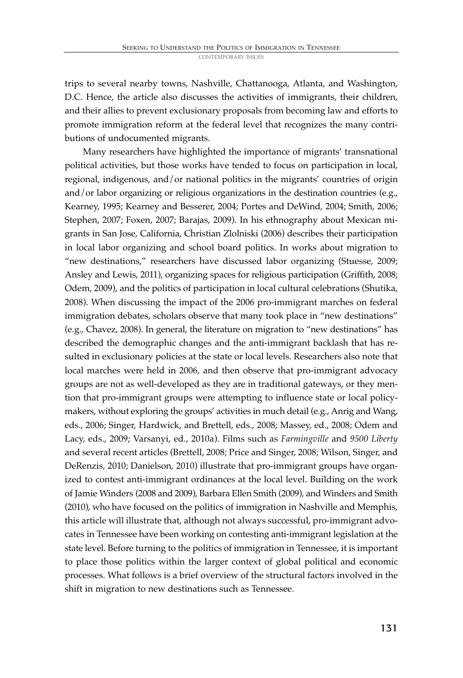trips to several nearby towns, Nashville, Chattanooga, Atlanta, and Washington, D.C. Hence, the article also discusses the activities of immigrants, their children, and their allies to prevent exclusionary proposals from becoming law and efforts to promote immigration reform at the federal level that recognizes the many contributions of undocumented migrants.

Many researchers have highlighted the importance of migrants' transnational political activities, but those works have tended to focus on participation in local, regional, indigenous, and/or national politics in the migrants' countries of origin and/or labor organizing or religious organizations in the destination countries (e.g., Kearney, 1995; Kearney and Besserer, 2004; Portes and DeWind, 2004; Smith, 2006; Stephen, 2007; Foxen, 2007; Barajas, 2009). In his ethnography about Mexican migrants in San Jose, California, Christian Zlolniski (2006) describes their participation in local labor organizing and school board politics. In works about migration to "new destinations," researchers have discussed labor organizing (Stuesse, 2009; Ansley and Lewis, 2011), organizing spaces for religious participation (Griffith, 2008; Odem, 2009), and the politics of participation in local cultural celebrations (Shutika, 2008). When discussing the impact of the 2006 pro-immigrant marches on federal immigration debates, scholars observe that many took place in "new destinations" (e.g., Chavez, 2008). In general, the literature on migration to "new destinations" has described the demographic changes and the anti-immigrant backlash that has resulted in exclusionary policies at the state or local levels. Researchers also note that local marches were held in 2006, and then observe that pro-immigrant advocacy groups are not as well-developed as they are in traditional gateways, or they mention that pro-immigrant groups were attempting to influence state or local policymakers, without exploring the groups' activities in much detail (e.g., Anrig and Wang, eds., 2006; Singer, Hardwick, and Brettell, eds., 2008; Massey, ed., 2008; Odem and Lacy, eds., 2009; Varsanyi, ed., 2010a). Films such as *Farmingville* and *9500 Liberty* and several recent articles (Brettell, 2008; Price and Singer, 2008; Wilson, Singer, and DeRenzis, 2010; Danielson, 2010) illustrate that pro-immigrant groups have organized to contest anti-immigrant ordinances at the local level. Building on the work of Jamie Winders (2008 and 2009), Barbara Ellen Smith (2009), and Winders and Smith (2010), who have focused on the politics of immigration in Nashville and Memphis, this article will illustrate that, although not always successful, pro-immigrant advocates in Tennessee have been working on contesting anti-immigrant legislation at the state level. Before turning to the politics of immigration in Tennessee, it is important to place those politics within the larger context of global political and economic processes. What follows is a brief overview of the structural factors involved in the shift in migration to new destinations such as Tennessee.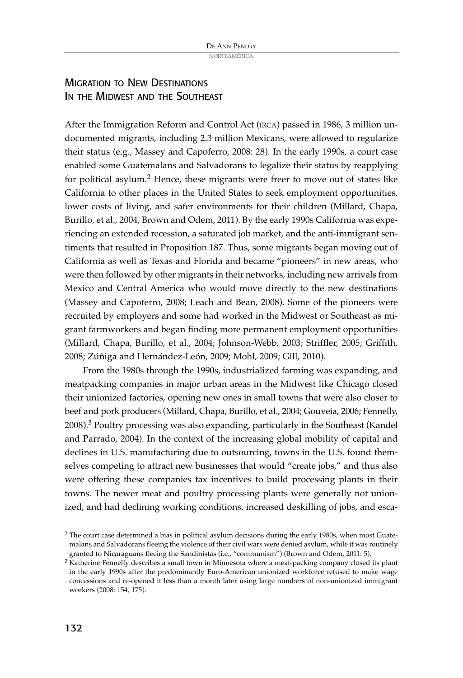### MIGRATION TO NEW DESTINATIONS IN THE MIDWEST AND THE SOUTHEAST

After the Immigration Reform and Control Act (IRCA) passed in 1986, 3 million undocumented migrants, including 2.3 million Mexicans, were allowed to regularize their status (e.g., Massey and Capoferro, 2008: 28). In the early 1990s, a court case enabled some Guatemalans and Salvadorans to legalize their status by reapplying for political asylum. <sup>2</sup> Hence, these migrants were freer to move out of states like California to other places in the United States to seek employment opportunities, lower costs of living, and safer environments for their children (Millard, Chapa, Burillo, et al., 2004, Brown and Odem, 2011). By the early 1990s California was experiencing an extended recession, a saturated job market, and the anti-immigrant sentiments that resulted in Proposition 187. Thus, some migrants began moving out of California as well as Texas and Florida and became "pioneers" in new areas, who were then followed by other migrants in their networks, including new arrivals from Mexico and Central America who would move directly to the new destinations (Massey and Capoferro, 2008; Leach and Bean, 2008). Some of the pioneers were recruited by employers and some had worked in the Midwest or Southeast as migrant farmworkers and began finding more permanent employment opportunities (Millard, Chapa, Burillo, et al., 2004; Johnson-Webb, 2003; Striffler, 2005; Griffith, 2008; Zúñiga and Hernández-León, 2009; Mohl, 2009; Gill, 2010).

From the 1980s through the 1990s, industrialized farming was expanding, and meatpacking companies in major urban areas in the Midwest like Chicago closed their unionized factories, opening new ones in small towns that were also closer to beef and pork producers (Millard, Chapa, Burillo, et al., 2004; Gouveia, 2006; Fennelly, 2008). <sup>3</sup> Poultry processing was also expanding, particularly in the Southeast (Kandel and Parrado, 2004). In the context of the increasing global mobility of capital and declines in U.S. manufacturing due to outsourcing, towns in the U.S. found themselves competing to attract new businesses that would "create jobs," and thus also were offering these companies tax incentives to build processing plants in their towns. The newer meat and poultry processing plants were generally not unionized, and had declining working conditions, increased deskilling of jobs, and esca-

<sup>&</sup>lt;sup>2</sup> The court case determined a bias in political asylum decisions during the early 1980s, when most Guatemalans and Salvadorans fleeing the violence of their civil wars were denied asylum, while it was routinely granted to Nicaraguans fleeing the Sandinistas (i.e., "communism") (Brown and Odem, 2011: 5).

<sup>&</sup>lt;sup>3</sup> Katherine Fennelly describes a small town in Minnesota where a meat-packing company closed its plant in the early 1990s after the predominantly Euro-American unionized workforce refused to make wage concessions and re-opened it less than a month later using large numbers of non-unionized immigrant workers (2008: 154, 175).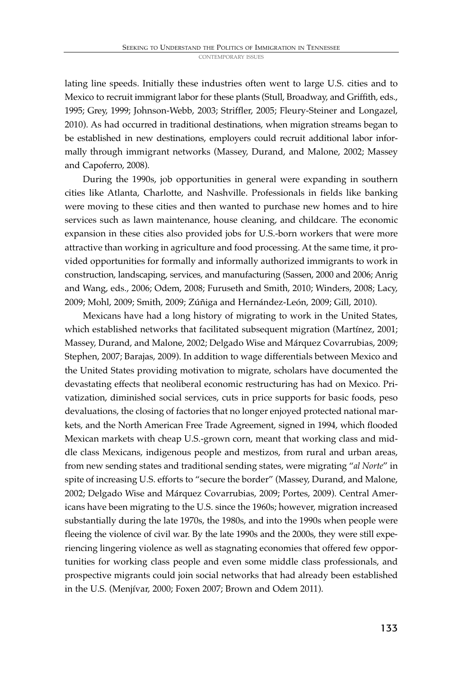lating line speeds. Initially these industries often went to large U.S. cities and to Mexico to recruit immigrant labor for these plants (Stull, Broadway, and Griffith, eds., 1995; Grey, 1999; Johnson-Webb, 2003; Striffler, 2005; Fleury-Steiner and Longazel, 2010). As had occurred in traditional destinations, when migration streams began to be established in new destinations, employers could recruit additional labor informally through immigrant networks (Massey, Durand, and Malone, 2002; Massey and Capoferro, 2008).

During the 1990s, job opportunities in general were expanding in southern cities like Atlanta, Charlotte, and Nashville. Professionals in fields like banking were moving to these cities and then wanted to purchase new homes and to hire services such as lawn maintenance, house cleaning, and childcare. The economic expansion in these cities also provided jobs for U.S.-born workers that were more attractive than working in agriculture and food processing. At the same time, it provided opportunities for formally and informally authorized immigrants to work in construction, landscaping, services, and manufacturing (Sassen, 2000 and 2006; Anrig and Wang, eds., 2006; Odem, 2008; Furuseth and Smith, 2010; Winders, 2008; Lacy, 2009; Mohl, 2009; Smith, 2009; Zúñiga and Hernández-León, 2009; Gill, 2010).

Mexicans have had a long history of migrating to work in the United States, which established networks that facilitated subsequent migration (Martínez, 2001; Massey, Durand, and Malone, 2002; Delgado Wise and Márquez Covarrubias, 2009; Stephen, 2007; Barajas, 2009). In addition to wage differentials between Mexico and the United States providing motivation to migrate, scholars have documented the devastating effects that neoliberal economic restructuring has had on Mexico. Privatization, diminished social services, cuts in price supports for basic foods, peso devaluations, the closing of factories that no longer enjoyed protected national markets, and the North American Free Trade Agreement, signed in 1994, which flooded Mexican markets with cheap U.S.-grown corn, meant that working class and middle class Mexicans, indigenous people and mestizos, from rural and urban areas, from new sending states and traditional sending states, were migrating "*al Norte*" in spite of increasing U.S. efforts to "secure the border" (Massey, Durand, and Malone, 2002; Delgado Wise and Márquez Covarrubias, 2009; Portes, 2009). Central Americans have been migrating to the U.S. since the 1960s; however, migration increased substantially during the late 1970s, the 1980s, and into the 1990s when people were fleeing the violence of civil war. By the late 1990s and the 2000s, they were still experiencing lingering violence as well as stagnating economies that offered few opportunities for working class people and even some middle class professionals, and prospective migrants could join social networks that had already been established in the U.S. (Menjívar, 2000; Foxen 2007; Brown and Odem 2011).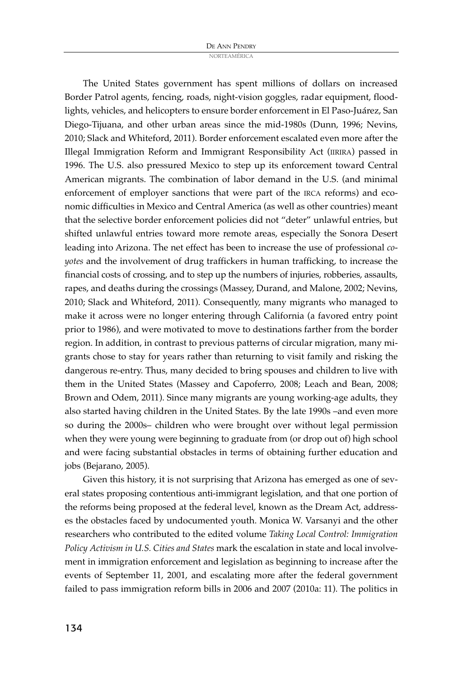The United States government has spent millions of dollars on increased Border Patrol agents, fencing, roads, night-vision goggles, radar equipment, floodlights, vehicles, and helicopters to ensure border enforcement in El Paso-Juárez, San Diego-Tijuana, and other urban areas since the mid-1980s (Dunn, 1996; Nevins, 2010; Slack and Whiteford, 2011). Border enforcement escalated even more after the Illegal Immigration Reform and Immigrant Responsibility Act (IIRIRA) passed in 1996. The U.S. also pressured Mexico to step up its enforcement toward Central American migrants. The combination of labor demand in the U.S. (and minimal enforcement of employer sanctions that were part of the IRCA reforms) and economic difficulties in Mexico and Central America (as well as other countries) meant that the selective border enforcement policies did not "deter" unlawful entries, but shifted unlawful entries toward more remote areas, especially the Sonora Desert leading into Arizona. The net effect has been to increase the use of professional *coyotes* and the involvement of drug traffickers in human trafficking, to increase the financial costs of crossing, and to step up the numbers of injuries, robberies, assaults, rapes, and deaths during the crossings (Massey, Durand, and Malone, 2002; Nevins, 2010; Slack and Whiteford, 2011). Consequently, many migrants who managed to make it across were no longer entering through California (a favored entry point prior to 1986), and were motivated to move to destinations farther from the border region. In addition, in contrast to previous patterns of circular migration, many migrants chose to stay for years rather than returning to visit family and risking the dangerous re-entry. Thus, many decided to bring spouses and children to live with them in the United States (Massey and Capoferro, 2008; Leach and Bean, 2008; Brown and Odem, 2011). Since many migrants are young working-age adults, they also started having children in the United States. By the late 1990s –and even more so during the 2000s– children who were brought over without legal permission when they were young were beginning to graduate from (or drop out of) high school and were facing substantial obstacles in terms of obtaining further education and jobs (Bejarano, 2005).

Given this history, it is not surprising that Arizona has emerged as one of several states proposing contentious anti-immigrant legislation, and that one portion of the reforms being proposed at the federal level, known as the Dream Act, addresses the obstacles faced by undocumented youth. Monica W. Varsanyi and the other researchers who contributed to the edited volume *Taking Local Control: Immigration Policy Activism in U.S. Cities and States* mark the escalation in state and local involvement in immigration enforcement and legislation as beginning to increase after the events of September 11, 2001, and escalating more after the federal government failed to pass immigration reform bills in 2006 and 2007 (2010a: 11). The politics in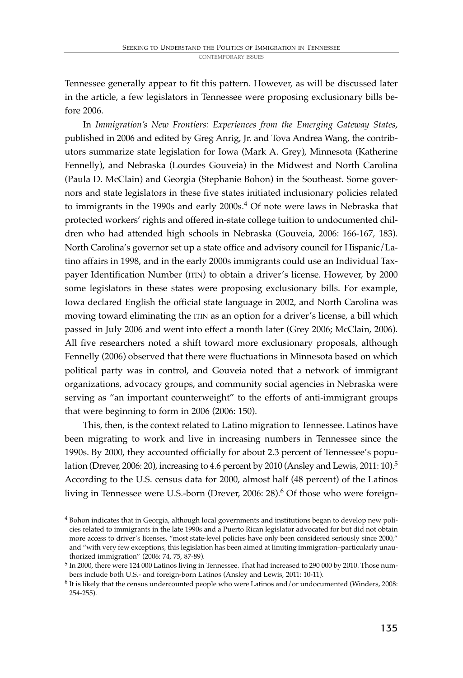Tennessee generally appear to fit this pattern. However, as will be discussed later in the article, a few legislators in Tennessee were proposing exclusionary bills before 2006.

In *Immigration's New Frontiers: Experiences from the Emerging Gateway States*, published in 2006 and edited by Greg Anrig, Jr. and Tova Andrea Wang, the contributors summarize state legislation for Iowa (Mark A. Grey), Minnesota (Katherine Fennelly), and Nebraska (Lourdes Gouveia) in the Midwest and North Carolina (Paula D. McClain) and Georgia (Stephanie Bohon) in the Southeast. Some governors and state legislators in these five states initiated inclusionary policies related to immigrants in the 1990s and early 2000s. <sup>4</sup> Of note were laws in Nebraska that protected workers' rights and offered in-state college tuition to undocumented children who had attended high schools in Nebraska (Gouveia, 2006: 166-167, 183). North Carolina's governor set up a state office and advisory council for Hispanic/Latino affairs in 1998, and in the early 2000s immigrants could use an Individual Taxpayer Identification Number (ITIN) to obtain a driver's license. However, by 2000 some legislators in these states were proposing exclusionary bills. For example, Iowa declared English the official state language in 2002, and North Carolina was moving toward eliminating the ITIN as an option for a driver's license, a bill which passed in July 2006 and went into effect a month later (Grey 2006; McClain, 2006). All five researchers noted a shift toward more exclusionary proposals, although Fennelly (2006) observed that there were fluctuations in Minnesota based on which political party was in control, and Gouveia noted that a network of immigrant organizations, advocacy groups, and community social agencies in Nebraska were serving as "an important counterweight" to the efforts of anti-immigrant groups that were beginning to form in 2006 (2006: 150).

This, then, is the context related to Latino migration to Tennessee. Latinos have been migrating to work and live in increasing numbers in Tennessee since the 1990s. By 2000, they accounted officially for about 2.3 percent of Tennessee's population (Drever, 2006: 20), increasing to 4.6 percent by 2010 (Ansley and Lewis, 2011: 10). 5 According to the U.S. census data for 2000, almost half (48 percent) of the Latinos living in Tennessee were U.S.-born (Drever, 2006: 28). <sup>6</sup> Of those who were foreign-

<sup>4</sup> Bohon indicates that in Georgia, although local governments and institutions began to develop new policies related to immigrants in the late 1990s and a Puerto Rican legislator advocated for but did not obtain more access to driver's licenses, "most state-level policies have only been considered seriously since 2000," and "with very few exceptions, this legislation has been aimed at limiting immigration–particularly unauthorized immigration" (2006: 74, 75, 87-89).

<sup>5</sup> In 2000, there were 124 000 Latinos living in Tennessee. That had increased to 290 000 by 2010. Those numbers include both U.S.- and foreign-born Latinos (Ansley and Lewis, 2011: 10-11).

<sup>6</sup> It is likely that the census undercounted people who were Latinos and/or undocumented (Winders, 2008: 254-255).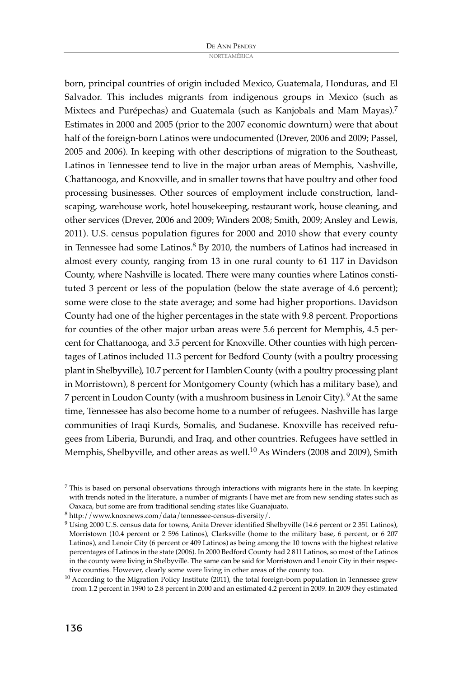born, principal countries of origin included Mexico, Guatemala, Honduras, and El Salvador. This includes migrants from indigenous groups in Mexico (such as Mixtecs and Purépechas) and Guatemala (such as Kanjobals and Mam Mayas). 7 Estimates in 2000 and 2005 (prior to the 2007 economic downturn) were that about half of the foreign-born Latinos were undocumented (Drever, 2006 and 2009; Passel, 2005 and 2006). In keeping with other descriptions of migration to the Southeast, Latinos in Tennessee tend to live in the major urban areas of Memphis, Nashville, Chattanooga, and Knoxville, and in smaller towns that have poultry and other food processing businesses. Other sources of employment include construction, landscaping, warehouse work, hotel housekeeping, restaurant work, house cleaning, and other services (Drever, 2006 and 2009; Winders 2008; Smith, 2009; Ansley and Lewis, 2011). U.S. census population figures for 2000 and 2010 show that every county in Tennessee had some Latinos. <sup>8</sup> By 2010, the numbers of Latinos had increased in almost every county, ranging from 13 in one rural county to 61 117 in Davidson County, where Nashville is located. There were many counties where Latinos constituted 3 percent or less of the population (below the state average of 4.6 percent); some were close to the state average; and some had higher proportions. Davidson County had one of the higher percentages in the state with 9.8 percent. Proportions for counties of the other major urban areas were 5.6 percent for Memphis, 4.5 percent for Chattanooga, and 3.5 percent for Knoxville. Other counties with high percentages of Latinos included 11.3 percent for Bedford County (with a poultry processing plant in Shelbyville), 10.7 percent for Hamblen County (with a poultry processing plant in Morristown), 8 percent for Montgomery County (which has a military base), and 7 percent in Loudon County (with a mushroom business in Lenoir City). <sup>9</sup> At the same time, Tennessee has also become home to a number of refugees. Nashville has large communities of Iraqi Kurds, Somalis, and Sudanese. Knoxville has received refugees from Liberia, Burundi, and Iraq, and other countries. Refugees have settled in Memphis, Shelbyville, and other areas as well. <sup>10</sup> As Winders (2008 and 2009), Smith

 $7$  This is based on personal observations through interactions with migrants here in the state. In keeping with trends noted in the literature, a number of migrants I have met are from new sending states such as Oaxaca, but some are from traditional sending states like Guanajuato.

<sup>8</sup> http://www.knoxnews.com/data/tennessee-census-diversity/.

<sup>9</sup> Using 2000 U.S. census data for towns, Anita Drever identified Shelbyville (14.6 percent or 2 351 Latinos), Morristown (10.4 percent or 2 596 Latinos), Clarksville (home to the military base, 6 percent, or 6 207 Latinos), and Lenoir City (6 percent or 409 Latinos) as being among the 10 towns with the highest relative percentages of Latinos in the state (2006). In 2000 Bedford County had 2 811 Latinos, so most of the Latinos in the county were living in Shelbyville. The same can be said for Morristown and Lenoir City in their respective counties. However, clearly some were living in other areas of the county too.

 $10$  According to the Migration Policy Institute (2011), the total foreign-born population in Tennessee grew from 1.2 percent in 1990 to 2.8 percent in 2000 and an estimated 4.2 percent in 2009. In 2009 they estimated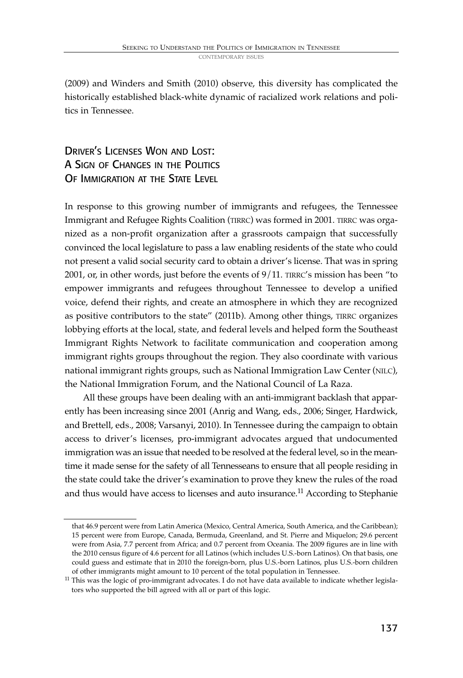(2009) and Winders and Smith (2010) observe, this diversity has complicated the historically established black-white dynamic of racialized work relations and politics in Tennessee.

DRIVER'S LICENSES WON AND LOST: A SIGN OF CHANGES IN THE POLITICS OF IMMIGRATION AT THE STATE LEVEL

In response to this growing number of immigrants and refugees, the Tennessee Immigrant and Refugee Rights Coalition (TIRRC) was formed in 2001. TIRRC was organized as a non-profit organization after a grassroots campaign that successfully convinced the local legislature to pass a law enabling residents of the state who could not present a valid social security card to obtain a driver's license. That was in spring 2001, or, in other words, just before the events of 9/11. TIRRC's mission has been "to empower immigrants and refugees throughout Tennessee to develop a unified voice, defend their rights, and create an atmosphere in which they are recognized as positive contributors to the state" (2011b). Among other things, TIRRC organizes lobbying efforts at the local, state, and federal levels and helped form the Southeast Immigrant Rights Network to facilitate communication and cooperation among immigrant rights groups throughout the region. They also coordinate with various national immigrant rights groups, such as National Immigration Law Center (NILC), the National Immigration Forum, and the National Council of La Raza.

All these groups have been dealing with an anti-immigrant backlash that apparently has been increasing since 2001 (Anrig and Wang, eds., 2006; Singer, Hardwick, and Brettell, eds., 2008; Varsanyi, 2010). In Tennessee during the campaign to obtain access to driver's licenses, pro-immigrant advocates argued that undocumented immigration was an issue that needed to be resolved at the federal level, so in the meantime it made sense for the safety of all Tennesseans to ensure that all people residing in the state could take the driver's examination to prove they knew the rules of the road and thus would have access to licenses and auto insurance.<sup>11</sup> According to Stephanie

that 46.9 percent were from Latin America (Mexico, Central America, South America, and the Caribbean); 15 percent were from Europe, Canada, Bermuda, Greenland, and St. Pierre and Miquelon; 29.6 percent were from Asia, 7.7 percent from Africa; and 0.7 percent from Oceania. The 2009 figures are in line with the 2010 census figure of 4.6 percent for all Latinos (which includes U.S.-born Latinos). On that basis, one could guess and estimate that in 2010 the foreign-born, plus U.S.-born Latinos, plus U.S.-born children of other immigrants might amount to 10 percent of the total population in Tennessee.

<sup>&</sup>lt;sup>11</sup> This was the logic of pro-immigrant advocates. I do not have data available to indicate whether legislators who supported the bill agreed with all or part of this logic.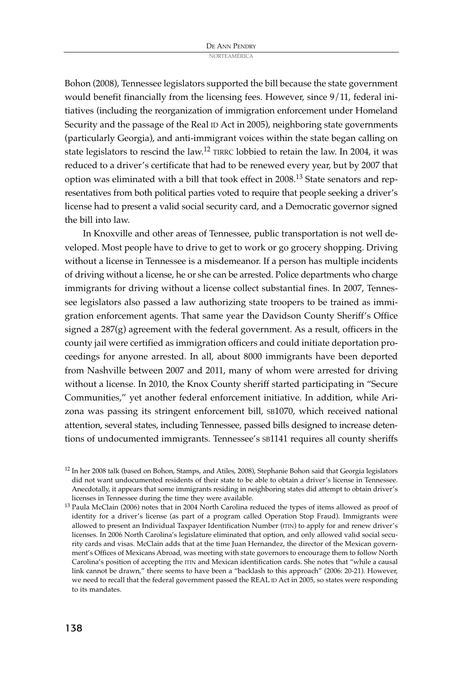Bohon (2008), Tennessee legislators supported the bill because the state government would benefit financially from the licensing fees. However, since 9/11, federal initiatives (including the reorganization of immigration enforcement under Homeland Security and the passage of the Real ID Act in 2005), neighboring state governments (particularly Georgia), and anti-immigrant voices within the state began calling on state legislators to rescind the law.<sup>12</sup> TIRRC lobbied to retain the law. In 2004, it was reduced to a driver's certificate that had to be renewed every year, but by 2007 that option was eliminated with a bill that took effect in 2008.<sup>13</sup> State senators and representatives from both political parties voted to require that people seeking a driver's license had to present a valid social security card, and a Democratic governor signed the bill into law.

In Knoxville and other areas of Tennessee, public transportation is not well developed. Most people have to drive to get to work or go grocery shopping. Driving without a license in Tennessee is a misdemeanor. If a person has multiple incidents of driving without a license, he or she can be arrested. Police departments who charge immigrants for driving without a license collect substantial fines. In 2007, Tennessee legislators also passed a law authorizing state troopers to be trained as immigration enforcement agents. That same year the Davidson County Sheriff's Office signed a 287(g) agreement with the federal government. As a result, officers in the county jail were certified as immigration officers and could initiate deportation proceedings for anyone arrested. In all, about 8000 immigrants have been deported from Nashville between 2007 and 2011, many of whom were arrested for driving without a license. In 2010, the Knox County sheriff started participating in "Secure Communities," yet another federal enforcement initiative. In addition, while Arizona was passing its stringent enforcement bill, SB1070, which received national attention, several states, including Tennessee, passed bills designed to increase detentions of undocumented immigrants. Tennessee's SB1141 requires all county sheriffs

<sup>12</sup> In her 2008 talk (based on Bohon, Stamps, and Atiles, 2008), Stephanie Bohon said that Georgia legislators did not want undocumented residents of their state to be able to obtain a driver's license in Tennessee. Anecdotally, it appears that some immigrants residing in neighboring states did attempt to obtain driver's licenses in Tennessee during the time they were available.

<sup>13</sup> Paula McClain (2006) notes that in 2004 North Carolina reduced the types of items allowed as proof of identity for a driver's license (as part of a program called Operation Stop Fraud). Immigrants were allowed to present an Individual Taxpayer Identification Number (ITIN) to apply for and renew driver's licenses. In 2006 North Carolina's legislature eliminated that option, and only allowed valid social security cards and visas. McClain adds that at the time Juan Hernandez, the director of the Mexican government's Offices of Mexicans Abroad, was meeting with state governors to encourage them to follow North Carolina's position of accepting the ITIN and Mexican identification cards. She notes that "while a causal link cannot be drawn," there seems to have been a "backlash to this approach" (2006: 20-21). However, we need to recall that the federal government passed the REAL ID Act in 2005, so states were responding to its mandates.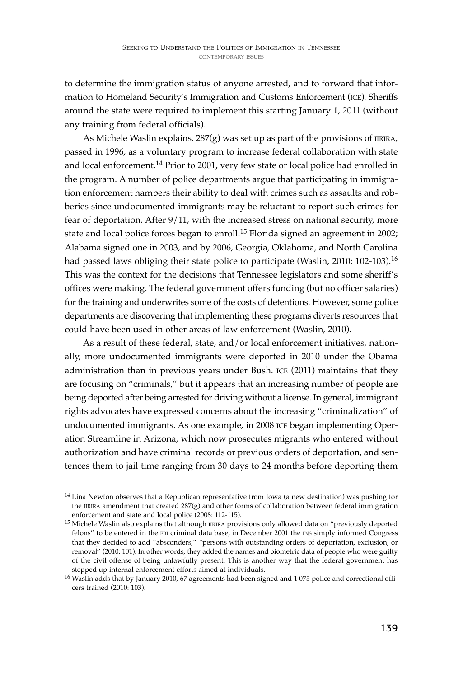to determine the immigration status of anyone arrested, and to forward that information to Homeland Security's Immigration and Customs Enforcement (ICE). Sheriffs around the state were required to implement this starting January 1, 2011 (without any training from federal officials).

As Michele Waslin explains,  $287(g)$  was set up as part of the provisions of IIRIRA, passed in 1996, as a voluntary program to increase federal collaboration with state and local enforcement.<sup>14</sup> Prior to 2001, very few state or local police had enrolled in the program. A number of police departments argue that participating in immigration enforcement hampers their ability to deal with crimes such as assaults and robberies since undocumented immigrants may be reluctant to report such crimes for fear of deportation. After 9/11, with the increased stress on national security, more state and local police forces began to enroll. <sup>15</sup> Florida signed an agreement in 2002; Alabama signed one in 2003, and by 2006, Georgia, Oklahoma, and North Carolina had passed laws obliging their state police to participate (Waslin, 2010: 102-103). 16 This was the context for the decisions that Tennessee legislators and some sheriff's offices were making. The federal government offers funding (but no officer salaries) for the training and underwrites some of the costs of detentions. However, some police departments are discovering that implementing these programs diverts resources that could have been used in other areas of law enforcement (Waslin, 2010).

As a result of these federal, state, and/or local enforcement initiatives, nationally, more undocumented immigrants were deported in 2010 under the Obama administration than in previous years under Bush. ICE (2011) maintains that they are focusing on "criminals," but it appears that an increasing number of people are being deported after being arrested for driving without a license. In general, immigrant rights advocates have expressed concerns about the increasing "criminalization" of undocumented immigrants. As one example, in 2008 ICE began implementing Operation Streamline in Arizona, which now prosecutes migrants who entered without authorization and have criminal records or previous orders of deportation, and sentences them to jail time ranging from 30 days to 24 months before deporting them

<sup>14</sup> Lina Newton observes that a Republican representative from Iowa (a new destination) was pushing for the IIRIRA amendment that created  $287(g)$  and other forms of collaboration between federal immigration enforcement and state and local police (2008: 112-115).

<sup>&</sup>lt;sup>15</sup> Michele Waslin also explains that although IIRIRA provisions only allowed data on "previously deported felons" to be entered in the FBI criminal data base, in December 2001 the INS simply informed Congress that they decided to add "absconders," "persons with outstanding orders of deportation, exclusion, or removal" (2010: 101). In other words, they added the names and biometric data of people who were guilty of the civil offense of being unlawfully present. This is another way that the federal government has stepped up internal enforcement efforts aimed at individuals.

<sup>&</sup>lt;sup>16</sup> Waslin adds that by January 2010, 67 agreements had been signed and 1 075 police and correctional officers trained (2010: 103).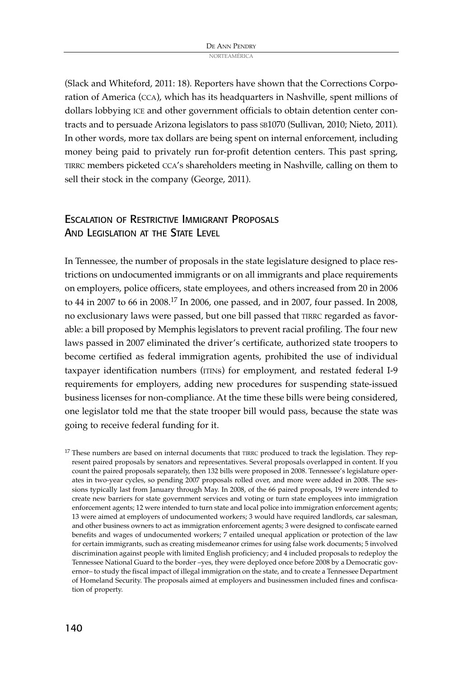(Slack and Whiteford, 2011: 18). Reporters have shown that the Corrections Corporation of America (CCA), which has its headquarters in Nashville, spent millions of dollars lobbying ICE and other government officials to obtain detention center contracts and to persuade Arizona legislators to pass SB1070 (Sullivan, 2010; Nieto, 2011). In other words, more tax dollars are being spent on internal enforcement, including money being paid to privately run for-profit detention centers. This past spring, TIRRC members picketed CCA's shareholders meeting in Nashville, calling on them to sell their stock in the company (George, 2011).

# ESCALATION OF RESTRICTIVE IMMIGRANT PROPOSALS AND LEGISLATION AT THE STATE LEVEL

In Tennessee, the number of proposals in the state legislature designed to place restrictions on undocumented immigrants or on all immigrants and place requirements on employers, police officers, state employees, and others increased from 20 in 2006 to 44 in 2007 to 66 in 2008. <sup>17</sup> In 2006, one passed, and in 2007, four passed. In 2008, no exclusionary laws were passed, but one bill passed that TIRRC regarded as favorable: a bill proposed by Memphis legislators to prevent racial profiling. The four new laws passed in 2007 eliminated the driver's certificate, authorized state troopers to become certified as federal immigration agents, prohibited the use of individual taxpayer identification numbers (ITINs) for employment, and restated federal I-9 requirements for employers, adding new procedures for suspending state-issued business licenses for non-compliance. At the time these bills were being considered, one legislator told me that the state trooper bill would pass, because the state was going to receive federal funding for it.

 $17$  These numbers are based on internal documents that TIRRC produced to track the legislation. They represent paired proposals by senators and representatives. Several proposals overlapped in content. If you count the paired proposals separately, then 132 bills were proposed in 2008. Tennessee's legislature operates in two-year cycles, so pending 2007 proposals rolled over, and more were added in 2008. The sessions typically last from January through May. In 2008, of the 66 paired proposals, 19 were intended to create new barriers for state government services and voting or turn state employees into immigration enforcement agents; 12 were intended to turn state and local police into immigration enforcement agents; 13 were aimed at employers of undocumented workers; 3 would have required landlords, car salesman, and other business owners to act as immigration enforcement agents; 3 were designed to confiscate earned benefits and wages of undocumented workers; 7 entailed unequal application or protection of the law for certain immigrants, such as creating misdemeanor crimes for using false work documents; 5 involved discrimination against people with limited English proficiency; and 4 included proposals to redeploy the Tennessee National Guard to the border –yes, they were deployed once before 2008 by a Democratic governor– to study the fiscal impact of illegal immigration on the state, and to create a Tennessee Department of Homeland Security. The proposals aimed at employers and businessmen included fines and confiscation of property.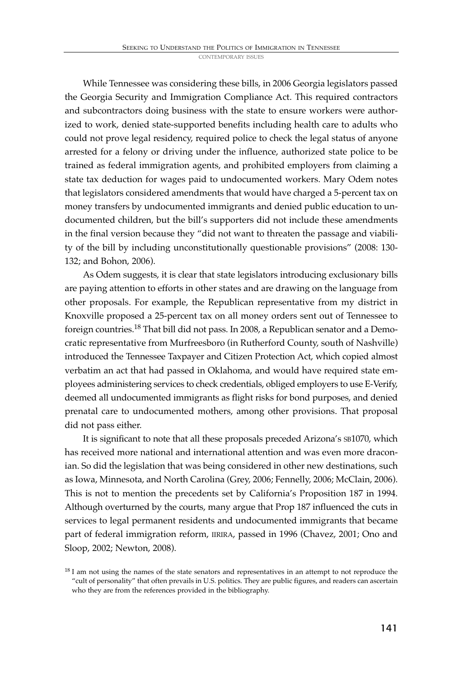While Tennessee was considering these bills, in 2006 Georgia legislators passed the Georgia Security and Immigration Compliance Act. This required contractors and subcontractors doing business with the state to ensure workers were authorized to work, denied state-supported benefits including health care to adults who could not prove legal residency, required police to check the legal status of anyone arrested for a felony or driving under the influence, authorized state police to be trained as federal immigration agents, and prohibited employers from claiming a state tax deduction for wages paid to undocumented workers. Mary Odem notes that legislators considered amendments that would have charged a 5-percent tax on money transfers by undocumented immigrants and denied public education to undocumented children, but the bill's supporters did not include these amendments in the final version because they "did not want to threaten the passage and viability of the bill by including unconstitutionally questionable provisions" (2008: 130- 132; and Bohon, 2006).

As Odem suggests, it is clear that state legislators introducing exclusionary bills are paying attention to efforts in other states and are drawing on the language from other proposals. For example, the Republican representative from my district in Knoxville proposed a 25-percent tax on all money orders sent out of Tennessee to foreign countries.<sup>18</sup> That bill did not pass. In 2008, a Republican senator and a Democratic representative from Murfreesboro (in Rutherford County, south of Nashville) introduced the Tennessee Taxpayer and Citizen Protection Act, which copied almost verbatim an act that had passed in Oklahoma, and would have required state employees administering services to check credentials, obliged employers to use E-Verify, deemed all undocumented immigrants as flight risks for bond purposes, and denied prenatal care to undocumented mothers, among other provisions. That proposal did not pass either.

It is significant to note that all these proposals preceded Arizona's SB1070, which has received more national and international attention and was even more draconian. So did the legislation that was being considered in other new destinations, such as Iowa, Minnesota, and North Carolina (Grey, 2006; Fennelly, 2006; McClain, 2006). This is not to mention the precedents set by California's Proposition 187 in 1994. Although overturned by the courts, many argue that Prop 187 influenced the cuts in services to legal permanent residents and undocumented immigrants that became part of federal immigration reform, IIRIRA, passed in 1996 (Chavez, 2001; Ono and Sloop, 2002; Newton, 2008).

<sup>&</sup>lt;sup>18</sup> I am not using the names of the state senators and representatives in an attempt to not reproduce the "cult of personality" that often prevails in U.S. politics. They are public figures, and readers can ascertain who they are from the references provided in the bibliography.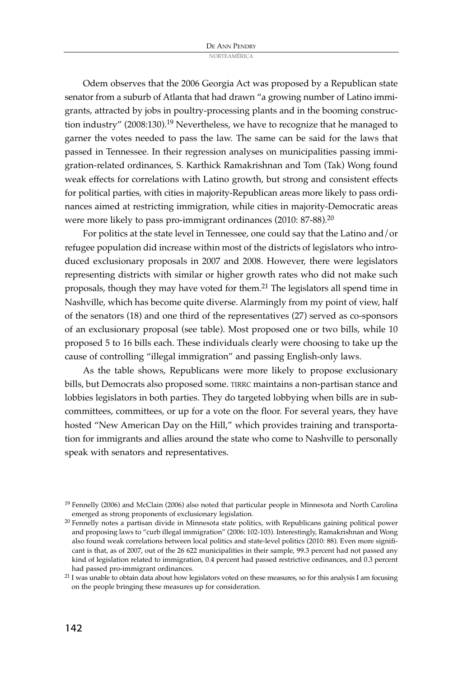Odem observes that the 2006 Georgia Act was proposed by a Republican state senator from a suburb of Atlanta that had drawn "a growing number of Latino immigrants, attracted by jobs in poultry-processing plants and in the booming construction industry" (2008:130).<sup>19</sup> Nevertheless, we have to recognize that he managed to garner the votes needed to pass the law. The same can be said for the laws that passed in Tennessee. In their regression analyses on municipalities passing immigration-related ordinances, S. Karthick Ramakrishnan and Tom (Tak) Wong found weak effects for correlations with Latino growth, but strong and consistent effects for political parties, with cities in majority-Republican areas more likely to pass ordinances aimed at restricting immigration, while cities in majority-Democratic areas were more likely to pass pro-immigrant ordinances (2010: 87-88).<sup>20</sup>

For politics at the state level in Tennessee, one could say that the Latino and/or refugee population did increase within most of the districts of legislators who introduced exclusionary proposals in 2007 and 2008. However, there were legislators representing districts with similar or higher growth rates who did not make such proposals, though they may have voted for them. <sup>21</sup> The legislators all spend time in Nashville, which has become quite diverse. Alarmingly from my point of view, half of the senators (18) and one third of the representatives (27) served as co-sponsors of an exclusionary proposal (see table). Most proposed one or two bills, while 10 proposed 5 to 16 bills each. These individuals clearly were choosing to take up the cause of controlling "illegal immigration" and passing English-only laws.

As the table shows, Republicans were more likely to propose exclusionary bills, but Democrats also proposed some. TIRRC maintains a non-partisan stance and lobbies legislators in both parties. They do targeted lobbying when bills are in subcommittees, committees, or up for a vote on the floor. For several years, they have hosted "New American Day on the Hill," which provides training and transportation for immigrants and allies around the state who come to Nashville to personally speak with senators and representatives.

<sup>&</sup>lt;sup>19</sup> Fennelly (2006) and McClain (2006) also noted that particular people in Minnesota and North Carolina emerged as strong proponents of exclusionary legislation.

<sup>20</sup> Fennelly notes a partisan divide in Minnesota state politics, with Republicans gaining political power and proposing laws to "curb illegal immigration" (2006: 102-103). Interestingly, Ramakrishnan and Wong also found weak correlations between local politics and state-level politics (2010: 88). Even more significant is that, as of 2007, out of the 26 622 municipalities in their sample, 99.3 percent had not passed any kind of legislation related to immigration, 0.4 percent had passed restrictive ordinances, and 0.3 percent had passed pro-immigrant ordinances.

 $21$  I was unable to obtain data about how legislators voted on these measures, so for this analysis I am focusing on the people bringing these measures up for consideration.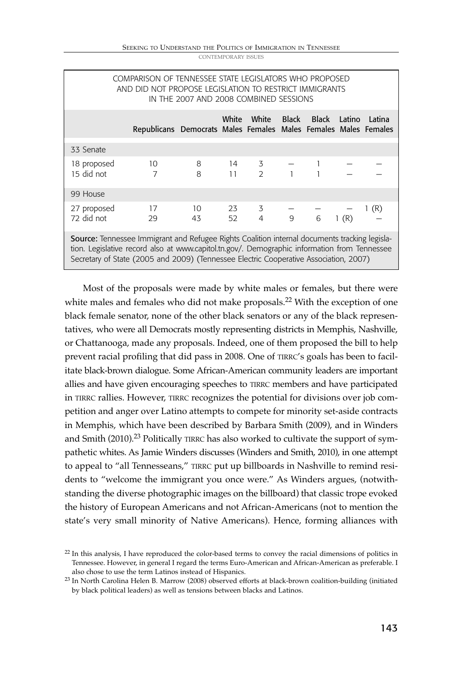| <b>CONTEMPORARY ISSUES</b> |  |
|----------------------------|--|
|----------------------------|--|

| COMPARISON OF TENNESSEE STATE LEGISLATORS WHO PROPOSED<br>AND DID NOT PROPOSE LEGISLATION TO RESTRICT IMMIGRANTS<br>IN THE 2007 AND 2008 COMBINED SESSIONS                                                                                                                             |  |                                                                 |                                                    |  |                                       |  |  |  |      |  |
|----------------------------------------------------------------------------------------------------------------------------------------------------------------------------------------------------------------------------------------------------------------------------------------|--|-----------------------------------------------------------------|----------------------------------------------------|--|---------------------------------------|--|--|--|------|--|
|                                                                                                                                                                                                                                                                                        |  | Republicans Democrats Males Females Males Females Males Females |                                                    |  | White White Black Black Latino Latina |  |  |  |      |  |
| 33 Senate                                                                                                                                                                                                                                                                              |  |                                                                 |                                                    |  |                                       |  |  |  |      |  |
| 18 proposed<br>15 did not                                                                                                                                                                                                                                                              |  | $\frac{10}{7}$                                                  | $8 \t 14 \t 3 \t - \t 1 \t - \t 3$<br>8 11 2 1 1 - |  |                                       |  |  |  |      |  |
| 99 House                                                                                                                                                                                                                                                                               |  |                                                                 |                                                    |  |                                       |  |  |  |      |  |
| 27 proposed<br>72 did not                                                                                                                                                                                                                                                              |  | 17<br>29                                                        | $10$ 23 3 - - -<br>43 52 4 9 6 1 (R)               |  |                                       |  |  |  | 1(R) |  |
| Source: Tennessee Immigrant and Refugee Rights Coalition internal documents tracking legisla-<br>tion. Legislative record also at www.capitol.tn.gov/. Demographic information from Tennessee<br>Secretary of State (2005 and 2009) (Tennessee Electric Cooperative Association, 2007) |  |                                                                 |                                                    |  |                                       |  |  |  |      |  |

Most of the proposals were made by white males or females, but there were white males and females who did not make proposals. <sup>22</sup> With the exception of one black female senator, none of the other black senators or any of the black representatives, who were all Democrats mostly representing districts in Memphis, Nashville, or Chattanooga, made any proposals. Indeed, one of them proposed the bill to help prevent racial profiling that did pass in 2008. One of TIRRC's goals has been to facilitate black-brown dialogue. Some African-American community leaders are important allies and have given encouraging speeches to TIRRC members and have participated in TIRRC rallies. However, TIRRC recognizes the potential for divisions over job competition and anger over Latino attempts to compete for minority set-aside contracts in Memphis, which have been described by Barbara Smith (2009), and in Winders and Smith (2010).<sup>23</sup> Politically TIRRC has also worked to cultivate the support of sympathetic whites. As Jamie Winders discusses (Winders and Smith, 2010), in one attempt to appeal to "all Tennesseans," TIRRC put up billboards in Nashville to remind residents to "welcome the immigrant you once were." As Winders argues, (notwithstanding the diverse photographic images on the billboard) that classic trope evoked the history of European Americans and not African-Americans (not to mention the state's very small minority of Native Americans). Hence, forming alliances with

 $22$  In this analysis, I have reproduced the color-based terms to convey the racial dimensions of politics in Tennessee. However, in general I regard the terms Euro-American and African-American as preferable. I also chose to use the term Latinos instead of Hispanics.

<sup>23</sup> In North Carolina Helen B. Marrow (2008) observed efforts at black-brown coalition-building (initiated by black political leaders) as well as tensions between blacks and Latinos.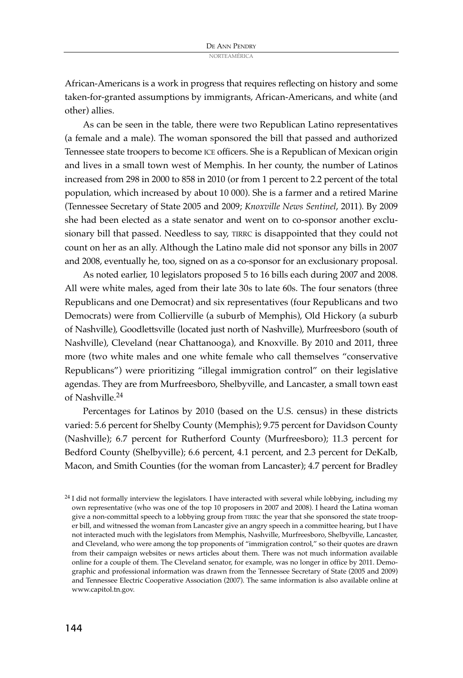African-Americans is a work in progress that requires reflecting on history and some taken-for-granted assumptions by immigrants, African-Americans, and white (and other) allies.

As can be seen in the table, there were two Republican Latino representatives (a female and a male). The woman sponsored the bill that passed and authorized Tennessee state troopers to become ICE officers. She is a Republican of Mexican origin and lives in a small town west of Memphis. In her county, the number of Latinos increased from 298 in 2000 to 858 in 2010 (or from 1 percent to 2.2 percent of the total population, which increased by about 10 000). She is a farmer and a retired Marine (Tennessee Secretary of State 2005 and 2009; *Knoxville News Sentinel*, 2011). By 2009 she had been elected as a state senator and went on to co-sponsor another exclusionary bill that passed. Needless to say, TIRRC is disappointed that they could not count on her as an ally. Although the Latino male did not sponsor any bills in 2007 and 2008, eventually he, too, signed on as a co-sponsor for an exclusionary proposal.

As noted earlier, 10 legislators proposed 5 to 16 bills each during 2007 and 2008. All were white males, aged from their late 30s to late 60s. The four senators (three Republicans and one Democrat) and six representatives (four Republicans and two Democrats) were from Collierville (a suburb of Memphis), Old Hickory (a suburb of Nashville), Goodlettsville (located just north of Nashville), Murfreesboro (south of Nashville), Cleveland (near Chattanooga), and Knoxville. By 2010 and 2011, three more (two white males and one white female who call themselves "conservative Republicans") were prioritizing "illegal immigration control" on their legislative agendas. They are from Murfreesboro, Shelbyville, and Lancaster, a small town east of Nashville. 24

Percentages for Latinos by 2010 (based on the U.S. census) in these districts varied: 5.6 percent for Shelby County (Memphis); 9.75 percent for Davidson County (Nashville); 6.7 percent for Rutherford County (Murfreesboro); 11.3 percent for Bedford County (Shelbyville); 6.6 percent, 4.1 percent, and 2.3 percent for DeKalb, Macon, and Smith Counties (for the woman from Lancaster); 4.7 percent for Bradley

<sup>&</sup>lt;sup>24</sup> I did not formally interview the legislators. I have interacted with several while lobbying, including my own representative (who was one of the top 10 proposers in 2007 and 2008). I heard the Latina woman give a non-committal speech to a lobbying group from TIRRC the year that she sponsored the state trooper bill, and witnessed the woman from Lancaster give an angry speech in a committee hearing, but I have not interacted much with the legislators from Memphis, Nashville, Murfreesboro, Shelbyville, Lancaster, and Cleveland, who were among the top proponents of "immigration control," so their quotes are drawn from their campaign websites or news articles about them. There was not much information available online for a couple of them. The Cleveland senator, for example, was no longer in office by 2011. Demographic and professional information was drawn from the Tennessee Secretary of State (2005 and 2009) and Tennessee Electric Cooperative Association (2007). The same information is also available online at www.capitol.tn.gov.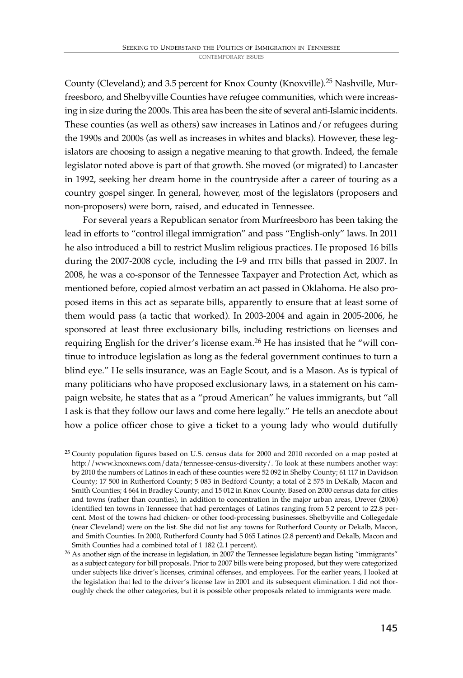County (Cleveland); and 3.5 percent for Knox County (Knoxville). <sup>25</sup> Nashville, Murfreesboro, and Shelbyville Counties have refugee communities, which were increasing in size during the 2000s. This area has been the site of several anti-Islamic incidents. These counties (as well as others) saw increases in Latinos and/or refugees during the 1990s and 2000s (as well as increases in whites and blacks). However, these legislators are choosing to assign a negative meaning to that growth. Indeed, the female legislator noted above is part of that growth. She moved (or migrated) to Lancaster in 1992, seeking her dream home in the countryside after a career of touring as a country gospel singer. In general, however, most of the legislators (proposers and non-proposers) were born, raised, and educated in Tennessee.

For several years a Republican senator from Murfreesboro has been taking the lead in efforts to "control illegal immigration" and pass "English-only" laws. In 2011 he also introduced a bill to restrict Muslim religious practices. He proposed 16 bills during the 2007-2008 cycle, including the I-9 and ITIN bills that passed in 2007. In 2008, he was a co-sponsor of the Tennessee Taxpayer and Protection Act, which as mentioned before, copied almost verbatim an act passed in Oklahoma. He also proposed items in this act as separate bills, apparently to ensure that at least some of them would pass (a tactic that worked). In 2003-2004 and again in 2005-2006, he sponsored at least three exclusionary bills, including restrictions on licenses and requiring English for the driver's license exam. <sup>26</sup> He has insisted that he "will continue to introduce legislation as long as the federal government continues to turn a blind eye." He sells insurance, was an Eagle Scout, and is a Mason. As is typical of many politicians who have proposed exclusionary laws, in a statement on his campaign website, he states that as a "proud American" he values immigrants, but "all I ask is that they follow our laws and come here legally." He tells an anecdote about how a police officer chose to give a ticket to a young lady who would dutifully

<sup>&</sup>lt;sup>25</sup> County population figures based on U.S. census data for 2000 and 2010 recorded on a map posted at http://www.knoxnews.com/data/tennessee-census-diversity/. To look at these numbers another way: by 2010 the numbers of Latinos in each of these counties were 52 092 in Shelby County; 61 117 in Davidson County; 17 500 in Rutherford County; 5 083 in Bedford County; a total of 2 575 in DeKalb, Macon and Smith Counties; 4 664 in Bradley County; and 15 012 in Knox County. Based on 2000 census data for cities and towns (rather than counties), in addition to concentration in the major urban areas, Drever (2006) identified ten towns in Tennessee that had percentages of Latinos ranging from 5.2 percent to 22.8 percent. Most of the towns had chicken- or other food-processing businesses. Shelbyville and Collegedale (near Cleveland) were on the list. She did not list any towns for Rutherford County or Dekalb, Macon, and Smith Counties. In 2000, Rutherford County had 5 065 Latinos (2.8 percent) and Dekalb, Macon and Smith Counties had a combined total of 1 182 (2.1 percent).

<sup>&</sup>lt;sup>26</sup> As another sign of the increase in legislation, in 2007 the Tennessee legislature began listing "immigrants" as a subject category for bill proposals. Prior to 2007 bills were being proposed, but they were categorized under subjects like driver's licenses, criminal offenses, and employees. For the earlier years, I looked at the legislation that led to the driver's license law in 2001 and its subsequent elimination. I did not thoroughly check the other categories, but it is possible other proposals related to immigrants were made.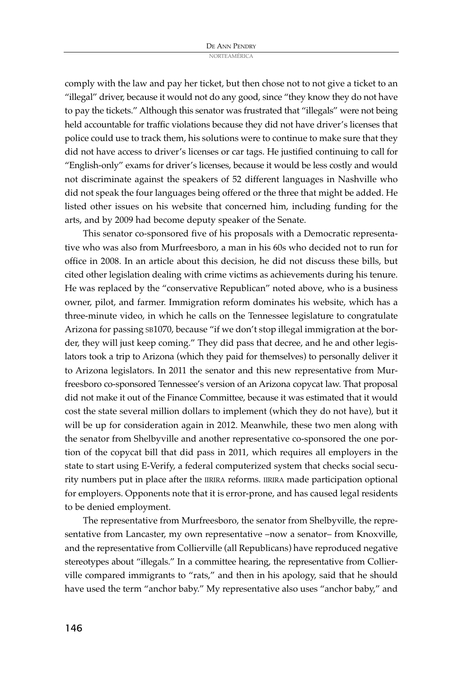comply with the law and pay her ticket, but then chose not to not give a ticket to an "illegal" driver, because it would not do any good, since "they know they do not have to pay the tickets." Although this senator was frustrated that "illegals" were not being held accountable for traffic violations because they did not have driver's licenses that police could use to track them, his solutions were to continue to make sure that they did not have access to driver's licenses or car tags. He justified continuing to call for "English-only" exams for driver's licenses, because it would be less costly and would not discriminate against the speakers of 52 different languages in Nashville who did not speak the four languages being offered or the three that might be added. He listed other issues on his website that concerned him, including funding for the arts, and by 2009 had become deputy speaker of the Senate.

This senator co-sponsored five of his proposals with a Democratic representative who was also from Murfreesboro, a man in his 60s who decided not to run for office in 2008. In an article about this decision, he did not discuss these bills, but cited other legislation dealing with crime victims as achievements during his tenure. He was replaced by the "conservative Republican" noted above, who is a business owner, pilot, and farmer. Immigration reform dominates his website, which has a three-minute video, in which he calls on the Tennessee legislature to congratulate Arizona for passing SB1070, because "if we don't stop illegal immigration at the border, they will just keep coming." They did pass that decree, and he and other legislators took a trip to Arizona (which they paid for themselves) to personally deliver it to Arizona legislators. In 2011 the senator and this new representative from Murfreesboro co-sponsored Tennessee's version of an Arizona copycat law. That proposal did not make it out of the Finance Committee, because it was estimated that it would cost the state several million dollars to implement (which they do not have), but it will be up for consideration again in 2012. Meanwhile, these two men along with the senator from Shelbyville and another representative co-sponsored the one portion of the copycat bill that did pass in 2011, which requires all employers in the state to start using E-Verify, a federal computerized system that checks social security numbers put in place after the IIRIRA reforms. IIRIRA made participation optional for employers. Opponents note that it is error-prone, and has caused legal residents to be denied employment.

The representative from Murfreesboro, the senator from Shelbyville, the representative from Lancaster, my own representative –now a senator– from Knoxville, and the representative from Collierville (all Republicans) have reproduced negative stereotypes about "illegals." In a committee hearing, the representative from Collierville compared immigrants to "rats," and then in his apology, said that he should have used the term "anchor baby." My representative also uses "anchor baby," and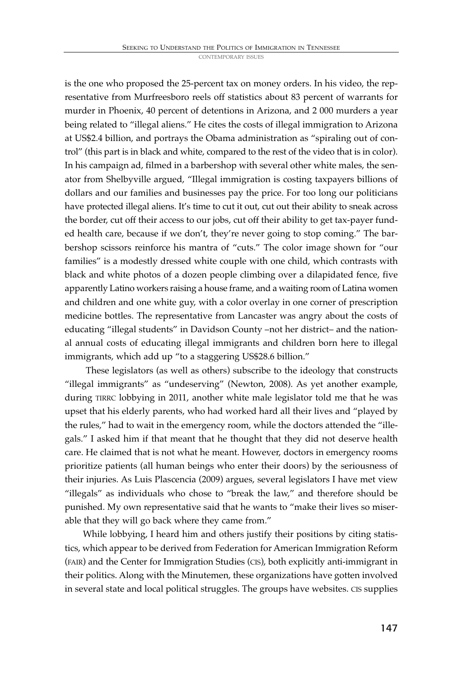is the one who proposed the 25-percent tax on money orders. In his video, the representative from Murfreesboro reels off statistics about 83 percent of warrants for murder in Phoenix, 40 percent of detentions in Arizona, and 2 000 murders a year being related to "illegal aliens." He cites the costs of illegal immigration to Arizona at US\$2.4 billion, and portrays the Obama administration as "spiraling out of control" (this part is in black and white, compared to the rest of the video that is in color). In his campaign ad, filmed in a barbershop with several other white males, the senator from Shelbyville argued, "Illegal immigration is costing taxpayers billions of dollars and our families and businesses pay the price. For too long our politicians have protected illegal aliens. It's time to cut it out, cut out their ability to sneak across the border, cut off their access to our jobs, cut off their ability to get tax-payer funded health care, because if we don't, they're never going to stop coming." The barbershop scissors reinforce his mantra of "cuts." The color image shown for "our families" is a modestly dressed white couple with one child, which contrasts with black and white photos of a dozen people climbing over a dilapidated fence, five apparently Latino workers raising a house frame, and a waiting room of Latina women and children and one white guy, with a color overlay in one corner of prescription medicine bottles. The representative from Lancaster was angry about the costs of educating "illegal students" in Davidson County –not her district– and the national annual costs of educating illegal immigrants and children born here to illegal immigrants, which add up "to a staggering US\$28.6 billion."

These legislators (as well as others) subscribe to the ideology that constructs "illegal immigrants" as "undeserving" (Newton, 2008). As yet another example, during TIRRC lobbying in 2011, another white male legislator told me that he was upset that his elderly parents, who had worked hard all their lives and "played by the rules," had to wait in the emergency room, while the doctors attended the "illegals." I asked him if that meant that he thought that they did not deserve health care. He claimed that is not what he meant. However, doctors in emergency rooms prioritize patients (all human beings who enter their doors) by the seriousness of their injuries. As Luis Plascencia (2009) argues, several legislators I have met view "illegals" as individuals who chose to "break the law," and therefore should be punished. My own representative said that he wants to "make their lives so miserable that they will go back where they came from."

While lobbying, I heard him and others justify their positions by citing statistics, which appear to be derived from Federation for American Immigration Reform (FAIR) and the Center for Immigration Studies (CIS), both explicitly anti-immigrant in their politics. Along with the Minutemen, these organizations have gotten involved in several state and local political struggles. The groups have websites. CIS supplies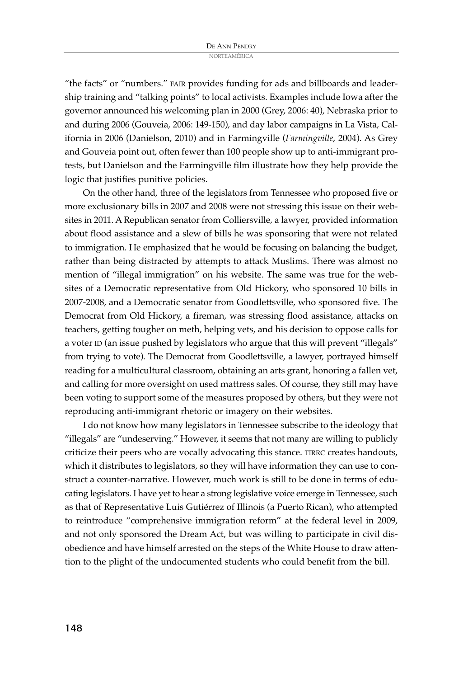"the facts" or "numbers." FAIR provides funding for ads and billboards and leadership training and "talking points" to local activists. Examples include Iowa after the governor announced his welcoming plan in 2000 (Grey, 2006: 40), Nebraska prior to and during 2006 (Gouveia, 2006: 149-150), and day labor campaigns in La Vista, California in 2006 (Danielson, 2010) and in Farmingville (*Farmingville*, 2004). As Grey and Gouveia point out, often fewer than 100 people show up to anti-immigrant protests, but Danielson and the Farmingville film illustrate how they help provide the logic that justifies punitive policies.

On the other hand, three of the legislators from Tennessee who proposed five or more exclusionary bills in 2007 and 2008 were not stressing this issue on their websites in 2011. A Republican senator from Colliersville, a lawyer, provided information about flood assistance and a slew of bills he was sponsoring that were not related to immigration. He emphasized that he would be focusing on balancing the budget, rather than being distracted by attempts to attack Muslims. There was almost no mention of "illegal immigration" on his website. The same was true for the websites of a Democratic representative from Old Hickory, who sponsored 10 bills in 2007-2008, and a Democratic senator from Goodlettsville, who sponsored five. The Democrat from Old Hickory, a fireman, was stressing flood assistance, attacks on teachers, getting tougher on meth, helping vets, and his decision to oppose calls for a voter ID (an issue pushed by legislators who argue that this will prevent "illegals" from trying to vote). The Democrat from Goodlettsville, a lawyer, portrayed himself reading for a multicultural classroom, obtaining an arts grant, honoring a fallen vet, and calling for more oversight on used mattress sales. Of course, they still may have been voting to support some of the measures proposed by others, but they were not reproducing anti-immigrant rhetoric or imagery on their websites.

I do not know how many legislators in Tennessee subscribe to the ideology that "illegals" are "undeserving." However, it seems that not many are willing to publicly criticize their peers who are vocally advocating this stance. TIRRC creates handouts, which it distributes to legislators, so they will have information they can use to construct a counter-narrative. However, much work is still to be done in terms of educating legislators. I have yet to hear a strong legislative voice emerge in Tennessee, such as that of Representative Luis Gutiérrez of Illinois (a Puerto Rican), who attempted to reintroduce "comprehensive immigration reform" at the federal level in 2009, and not only sponsored the Dream Act, but was willing to participate in civil disobedience and have himself arrested on the steps of the White House to draw attention to the plight of the undocumented students who could benefit from the bill.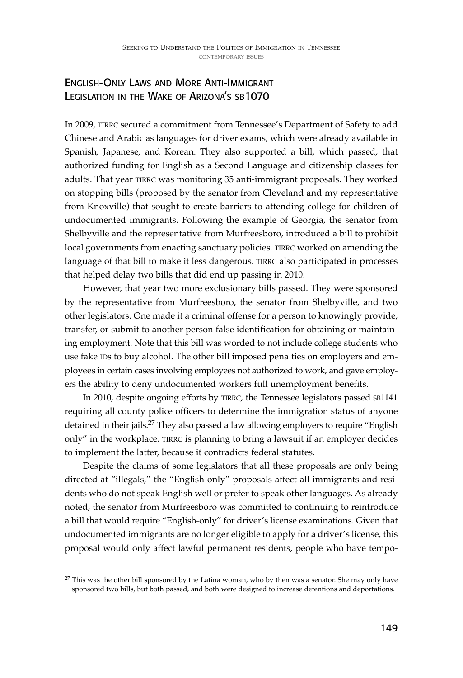# ENGLISH-ONLY LAWS AND MORE ANTI-IMMIGRANT LEGISLATION IN THE WAKE OF ARIZONA'S SB1070

In 2009, TIRRC secured a commitment from Tennessee's Department of Safety to add Chinese and Arabic as languages for driver exams, which were already available in Spanish, Japanese, and Korean. They also supported a bill, which passed, that authorized funding for English as a Second Language and citizenship classes for adults. That year TIRRC was monitoring 35 anti-immigrant proposals. They worked on stopping bills (proposed by the senator from Cleveland and my representative from Knoxville) that sought to create barriers to attending college for children of undocumented immigrants. Following the example of Georgia, the senator from Shelbyville and the representative from Murfreesboro, introduced a bill to prohibit local governments from enacting sanctuary policies. TIRRC worked on amending the language of that bill to make it less dangerous. TIRRC also participated in processes that helped delay two bills that did end up passing in 2010.

However, that year two more exclusionary bills passed. They were sponsored by the representative from Murfreesboro, the senator from Shelbyville, and two other legislators. One made it a criminal offense for a person to knowingly provide, transfer, or submit to another person false identification for obtaining or maintaining employment. Note that this bill was worded to not include college students who use fake IDs to buy alcohol. The other bill imposed penalties on employers and employees in certain cases involving employees not authorized to work, and gave employers the ability to deny undocumented workers full unemployment benefits.

In 2010, despite ongoing efforts by TIRRC, the Tennessee legislators passed SB1141 requiring all county police officers to determine the immigration status of anyone detained in their jails.<sup>27</sup> They also passed a law allowing employers to require "English only" in the workplace. TIRRC is planning to bring a lawsuit if an employer decides to implement the latter, because it contradicts federal statutes.

Despite the claims of some legislators that all these proposals are only being directed at "illegals," the "English-only" proposals affect all immigrants and residents who do not speak English well or prefer to speak other languages. As already noted, the senator from Murfreesboro was committed to continuing to reintroduce a bill that would require "English-only" for driver's license examinations. Given that undocumented immigrants are no longer eligible to apply for a driver's license, this proposal would only affect lawful permanent residents, people who have tempo-

 $27$  This was the other bill sponsored by the Latina woman, who by then was a senator. She may only have sponsored two bills, but both passed, and both were designed to increase detentions and deportations.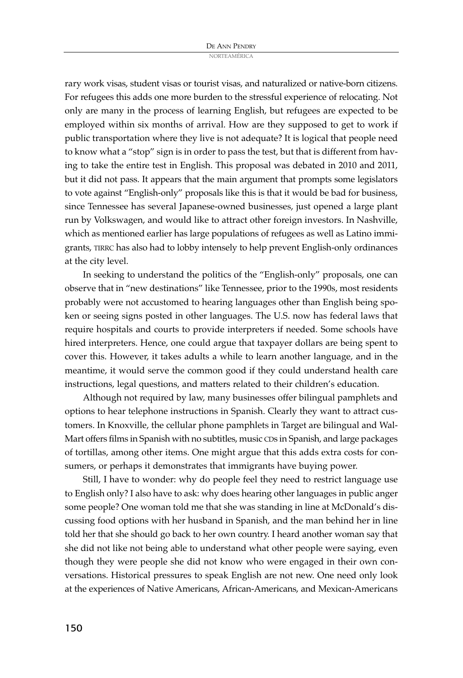rary work visas, student visas or tourist visas, and naturalized or native-born citizens. For refugees this adds one more burden to the stressful experience of relocating. Not only are many in the process of learning English, but refugees are expected to be employed within six months of arrival. How are they supposed to get to work if public transportation where they live is not adequate? It is logical that people need to know what a "stop" sign is in order to pass the test, but that is different from having to take the entire test in English. This proposal was debated in 2010 and 2011, but it did not pass. It appears that the main argument that prompts some legislators to vote against "English-only" proposals like this is that it would be bad for business, since Tennessee has several Japanese-owned businesses, just opened a large plant run by Volkswagen, and would like to attract other foreign investors. In Nashville, which as mentioned earlier has large populations of refugees as well as Latino immigrants, TIRRC has also had to lobby intensely to help prevent English-only ordinances at the city level.

In seeking to understand the politics of the "English-only" proposals, one can observe that in "new destinations" like Tennessee, prior to the 1990s, most residents probably were not accustomed to hearing languages other than English being spoken or seeing signs posted in other languages. The U.S. now has federal laws that require hospitals and courts to provide interpreters if needed. Some schools have hired interpreters. Hence, one could argue that taxpayer dollars are being spent to cover this. However, it takes adults a while to learn another language, and in the meantime, it would serve the common good if they could understand health care instructions, legal questions, and matters related to their children's education.

Although not required by law, many businesses offer bilingual pamphlets and options to hear telephone instructions in Spanish. Clearly they want to attract customers. In Knoxville, the cellular phone pamphlets in Target are bilingual and Wal-Mart offers films in Spanish with no subtitles, music CDs in Spanish, and large packages of tortillas, among other items. One might argue that this adds extra costs for consumers, or perhaps it demonstrates that immigrants have buying power.

Still, I have to wonder: why do people feel they need to restrict language use to English only? I also have to ask: why does hearing other languages in public anger some people? One woman told me that she was standing in line at McDonald's discussing food options with her husband in Spanish, and the man behind her in line told her that she should go back to her own country. I heard another woman say that she did not like not being able to understand what other people were saying, even though they were people she did not know who were engaged in their own conversations. Historical pressures to speak English are not new. One need only look at the experiences of Native Americans, African-Americans, and Mexican-Americans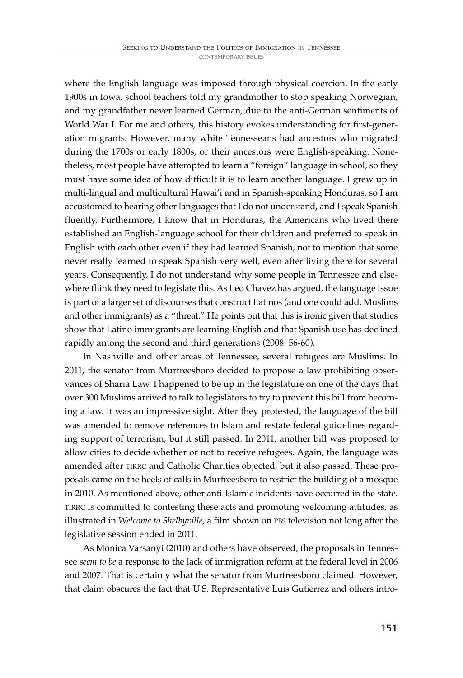where the English language was imposed through physical coercion. In the early 1900s in Iowa, school teachers told my grandmother to stop speaking Norwegian, and my grandfather never learned German, due to the anti-German sentiments of World War I. For me and others, this history evokes understanding for first-generation migrants. However, many white Tennesseans had ancestors who migrated during the 1700s or early 1800s, or their ancestors were English-speaking. Nonetheless, most people have attempted to learn a "foreign" language in school, so they must have some idea of how difficult it is to learn another language. I grew up in multi-lingual and multicultural Hawai'i and in Spanish-speaking Honduras, so I am accustomed to hearing other languages that I do not understand, and I speak Spanish fluently. Furthermore, I know that in Honduras, the Americans who lived there established an English-language school for their children and preferred to speak in English with each other even if they had learned Spanish, not to mention that some never really learned to speak Spanish very well, even after living there for several years. Consequently, I do not understand why some people in Tennessee and elsewhere think they need to legislate this. As Leo Chavez has argued, the language issue is part of a larger set of discourses that construct Latinos (and one could add, Muslims and other immigrants) as a "threat." He points out that this is ironic given that studies show that Latino immigrants are learning English and that Spanish use has declined rapidly among the second and third generations (2008: 56-60).

In Nashville and other areas of Tennessee, several refugees are Muslims. In 2011, the senator from Murfreesboro decided to propose a law prohibiting observances of Sharia Law. I happened to be up in the legislature on one of the days that over 300 Muslims arrived to talk to legislators to try to prevent this bill from becoming a law. It was an impressive sight. After they protested, the language of the bill was amended to remove references to Islam and restate federal guidelines regarding support of terrorism, but it still passed. In 2011, another bill was proposed to allow cities to decide whether or not to receive refugees. Again, the language was amended after TIRRC and Catholic Charities objected, but it also passed. These proposals came on the heels of calls in Murfreesboro to restrict the building of a mosque in 2010. As mentioned above, other anti-Islamic incidents have occurred in the state. TIRRC is committed to contesting these acts and promoting welcoming attitudes, as illustrated in *Welcome to Shelbyville*, a film shown on PBS television not long after the legislative session ended in 2011.

As Monica Varsanyi (2010) and others have observed, the proposals in Tennessee *seem to be* a response to the lack of immigration reform at the federal level in 2006 and 2007. That is certainly what the senator from Murfreesboro claimed. However, that claim obscures the fact that U.S. Representative Luis Gutierrez and others intro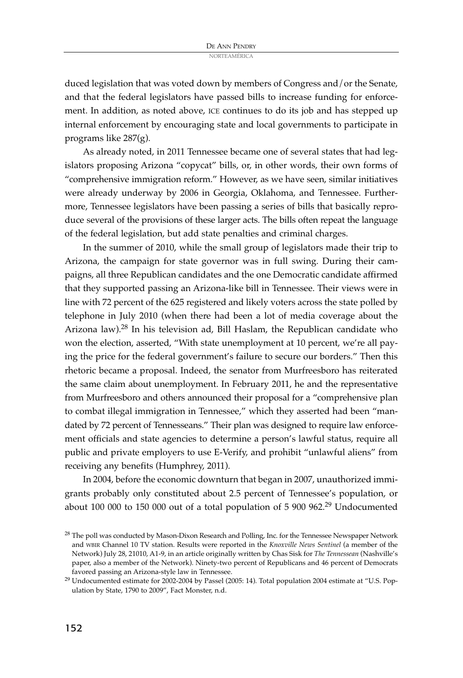duced legislation that was voted down by members of Congress and/or the Senate, and that the federal legislators have passed bills to increase funding for enforcement. In addition, as noted above, ICE continues to do its job and has stepped up internal enforcement by encouraging state and local governments to participate in programs like 287(g).

As already noted, in 2011 Tennessee became one of several states that had legislators proposing Arizona "copycat" bills, or, in other words, their own forms of "comprehensive immigration reform." However, as we have seen, similar initiatives were already underway by 2006 in Georgia, Oklahoma, and Tennessee. Furthermore, Tennessee legislators have been passing a series of bills that basically reproduce several of the provisions of these larger acts. The bills often repeat the language of the federal legislation, but add state penalties and criminal charges.

In the summer of 2010, while the small group of legislators made their trip to Arizona, the campaign for state governor was in full swing. During their campaigns, all three Republican candidates and the one Democratic candidate affirmed that they supported passing an Arizona-like bill in Tennessee. Their views were in line with 72 percent of the 625 registered and likely voters across the state polled by telephone in July 2010 (when there had been a lot of media coverage about the Arizona law). <sup>28</sup> In his television ad, Bill Haslam, the Republican candidate who won the election, asserted, "With state unemployment at 10 percent, we're all paying the price for the federal government's failure to secure our borders." Then this rhetoric became a proposal. Indeed, the senator from Murfreesboro has reiterated the same claim about unemployment. In February 2011, he and the representative from Murfreesboro and others announced their proposal for a "comprehensive plan to combat illegal immigration in Tennessee," which they asserted had been "mandated by 72 percent of Tennesseans." Their plan was designed to require law enforcement officials and state agencies to determine a person's lawful status, require all public and private employers to use E-Verify, and prohibit "unlawful aliens" from receiving any benefits (Humphrey, 2011).

In 2004, before the economic downturn that began in 2007, unauthorized immigrants probably only constituted about 2.5 percent of Tennessee's population, or about 100 000 to 150 000 out of a total population of 5 900 962.<sup>29</sup> Undocumented

<sup>&</sup>lt;sup>28</sup> The poll was conducted by Mason-Dixon Research and Polling, Inc. for the Tennessee Newspaper Network and WBIR Channel 10 TV station. Results were reported in the *Knoxville News Sentinel* (a member of the Network) July 28, 21010, A1-9, in an article originally written by Chas Sisk for *The Tennessean* (Nashville's paper, also a member of the Network). Ninety-two percent of Republicans and 46 percent of Democrats favored passing an Arizona-style law in Tennessee.

<sup>29</sup> Undocumented estimate for 2002-2004 by Passel (2005: 14). Total population 2004 estimate at "U.S. Population by State, 1790 to 2009", Fact Monster, n.d.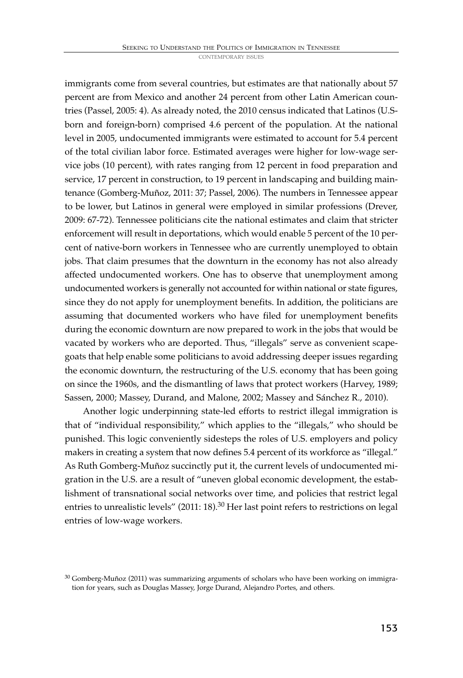immigrants come from several countries, but estimates are that nationally about 57 percent are from Mexico and another 24 percent from other Latin American countries (Passel, 2005: 4). As already noted, the 2010 census indicated that Latinos (U.Sborn and foreign-born) comprised 4.6 percent of the population. At the national level in 2005, undocumented immigrants were estimated to account for 5.4 percent of the total civilian labor force. Estimated averages were higher for low-wage service jobs (10 percent), with rates ranging from 12 percent in food preparation and service, 17 percent in construction, to 19 percent in landscaping and building maintenance (Gomberg-Muñoz, 2011: 37; Passel, 2006). The numbers in Tennessee appear to be lower, but Latinos in general were employed in similar professions (Drever, 2009: 67-72). Tennessee politicians cite the national estimates and claim that stricter enforcement will result in deportations, which would enable 5 percent of the 10 percent of native-born workers in Tennessee who are currently unemployed to obtain jobs. That claim presumes that the downturn in the economy has not also already affected undocumented workers. One has to observe that unemployment among undocumented workers is generally not accounted for within national or state figures, since they do not apply for unemployment benefits. In addition, the politicians are assuming that documented workers who have filed for unemployment benefits during the economic downturn are now prepared to work in the jobs that would be vacated by workers who are deported. Thus, "illegals" serve as convenient scapegoats that help enable some politicians to avoid addressing deeper issues regarding the economic downturn, the restructuring of the U.S. economy that has been going on since the 1960s, and the dismantling of laws that protect workers (Harvey, 1989; Sassen, 2000; Massey, Durand, and Malone, 2002; Massey and Sánchez R., 2010).

Another logic underpinning state-led efforts to restrict illegal immigration is that of "individual responsibility," which applies to the "illegals," who should be punished. This logic conveniently sidesteps the roles of U.S. employers and policy makers in creating a system that now defines 5.4 percent of its workforce as "illegal." As Ruth Gomberg-Muñoz succinctly put it, the current levels of undocumented migration in the U.S. are a result of "uneven global economic development, the establishment of transnational social networks over time, and policies that restrict legal entries to unrealistic levels" (2011: 18).<sup>30</sup> Her last point refers to restrictions on legal entries of low-wage workers.

 $30$  Gomberg-Muñoz (2011) was summarizing arguments of scholars who have been working on immigration for years, such as Douglas Massey, Jorge Durand, Alejandro Portes, and others.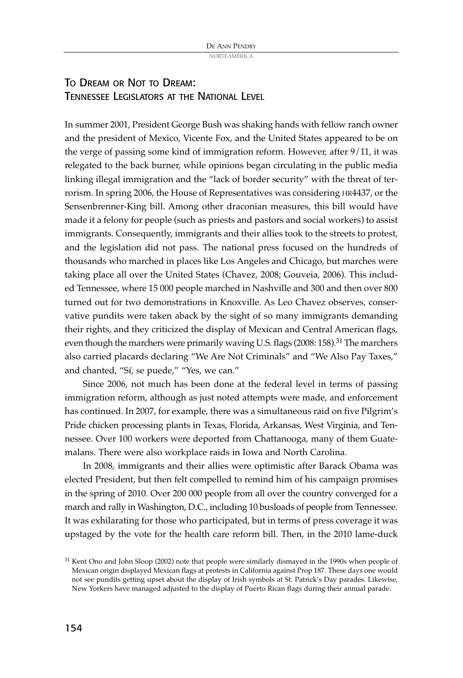# TO DREAM OR NOT TO DREAM: TENNESSEE LEGISLATORS AT THE NATIONAL LEVEL

In summer 2001, President George Bush was shaking hands with fellow ranch owner and the president of Mexico, Vicente Fox, and the United States appeared to be on the verge of passing some kind of immigration reform. However, after 9/11, it was relegated to the back burner, while opinions began circulating in the public media linking illegal immigration and the "lack of border security" with the threat of terrorism. In spring 2006, the House of Representatives was considering HR4437, or the Sensenbrenner-King bill. Among other draconian measures, this bill would have made it a felony for people (such as priests and pastors and social workers) to assist immigrants. Consequently, immigrants and their allies took to the streets to protest, and the legislation did not pass. The national press focused on the hundreds of thousands who marched in places like Los Angeles and Chicago, but marches were taking place all over the United States (Chavez, 2008; Gouveia, 2006). This included Tennessee, where 15 000 people marched in Nashville and 300 and then over 800 turned out for two demonstrations in Knoxville. As Leo Chavez observes, conservative pundits were taken aback by the sight of so many immigrants demanding their rights, and they criticized the display of Mexican and Central American flags, even though the marchers were primarily waving U.S. flags (2008: 158).<sup>31</sup> The marchers also carried placards declaring "We Are Not Criminals" and "We Also Pay Taxes," and chanted, "Sí, se puede," "Yes, we can."

Since 2006, not much has been done at the federal level in terms of passing immigration reform, although as just noted attempts were made, and enforcement has continued. In 2007, for example, there was a simultaneous raid on five Pilgrim's Pride chicken processing plants in Texas, Florida, Arkansas, West Virginia, and Tennessee. Over 100 workers were deported from Chattanooga, many of them Guatemalans. There were also workplace raids in Iowa and North Carolina.

In 2008, immigrants and their allies were optimistic after Barack Obama was elected President, but then felt compelled to remind him of his campaign promises in the spring of 2010. Over 200 000 people from all over the country converged for a march and rally in Washington, D.C., including 10 busloads of people from Tennessee. It was exhilarating for those who participated, but in terms of press coverage it was upstaged by the vote for the health care reform bill. Then, in the 2010 lame-duck

<sup>&</sup>lt;sup>31</sup> Kent Ono and John Sloop (2002) note that people were similarly dismayed in the 1990s when people of Mexican origin displayed Mexican flags at protests in California against Prop 187. These days one would not see pundits getting upset about the display of Irish symbols at St. Patrick's Day parades. Likewise, New Yorkers have managed adjusted to the display of Puerto Rican flags during their annual parade.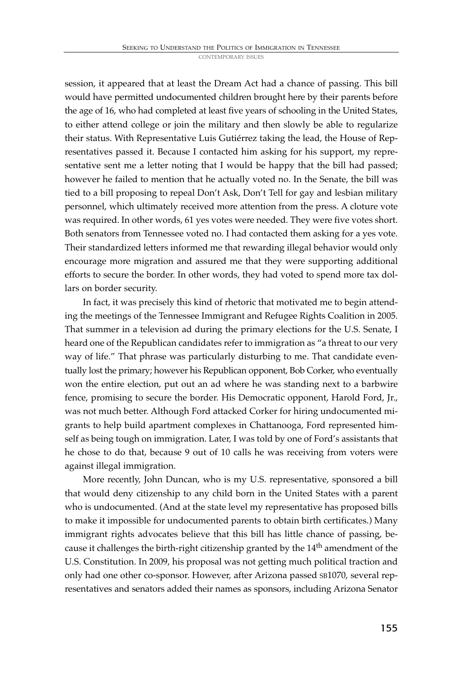session, it appeared that at least the Dream Act had a chance of passing. This bill would have permitted undocumented children brought here by their parents before the age of 16, who had completed at least five years of schooling in the United States, to either attend college or join the military and then slowly be able to regularize their status. With Representative Luis Gutiérrez taking the lead, the House of Representatives passed it. Because I contacted him asking for his support, my representative sent me a letter noting that I would be happy that the bill had passed; however he failed to mention that he actually voted no. In the Senate, the bill was tied to a bill proposing to repeal Don't Ask, Don't Tell for gay and lesbian military personnel, which ultimately received more attention from the press. A cloture vote was required. In other words, 61 yes votes were needed. They were five votes short. Both senators from Tennessee voted no. I had contacted them asking for a yes vote. Their standardized letters informed me that rewarding illegal behavior would only encourage more migration and assured me that they were supporting additional efforts to secure the border. In other words, they had voted to spend more tax dollars on border security.

In fact, it was precisely this kind of rhetoric that motivated me to begin attending the meetings of the Tennessee Immigrant and Refugee Rights Coalition in 2005. That summer in a television ad during the primary elections for the U.S. Senate, I heard one of the Republican candidates refer to immigration as "a threat to our very way of life." That phrase was particularly disturbing to me. That candidate eventually lost the primary; however his Republican opponent, Bob Corker, who eventually won the entire election, put out an ad where he was standing next to a barbwire fence, promising to secure the border. His Democratic opponent, Harold Ford, Jr., was not much better. Although Ford attacked Corker for hiring undocumented migrants to help build apartment complexes in Chattanooga, Ford represented himself as being tough on immigration. Later, I was told by one of Ford's assistants that he chose to do that, because 9 out of 10 calls he was receiving from voters were against illegal immigration.

More recently, John Duncan, who is my U.S. representative, sponsored a bill that would deny citizenship to any child born in the United States with a parent who is undocumented. (And at the state level my representative has proposed bills to make it impossible for undocumented parents to obtain birth certificates.) Many immigrant rights advocates believe that this bill has little chance of passing, because it challenges the birth-right citizenship granted by the 14<sup>th</sup> amendment of the U.S. Constitution. In 2009, his proposal was not getting much political traction and only had one other co-sponsor. However, after Arizona passed SB1070, several representatives and senators added their names as sponsors, including Arizona Senator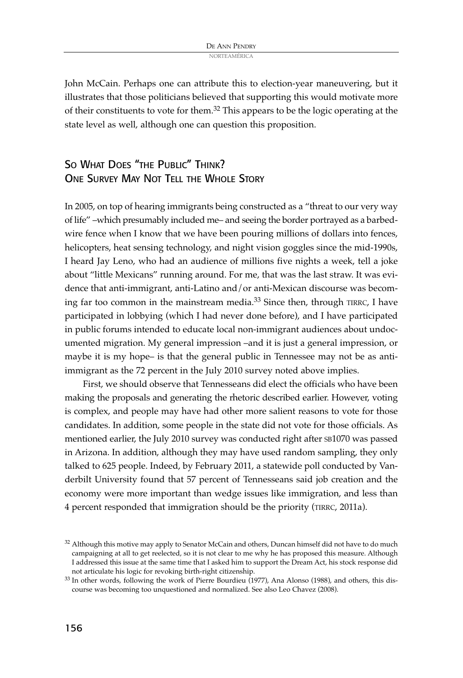John McCain. Perhaps one can attribute this to election-year maneuvering, but it illustrates that those politicians believed that supporting this would motivate more of their constituents to vote for them.<sup>32</sup> This appears to be the logic operating at the state level as well, although one can question this proposition.

# SO WHAT DOES "THE PUBLIC" THINK? ONE SURVEY MAY NOT TELL THE WHOLE STORY

In 2005, on top of hearing immigrants being constructed as a "threat to our very way of life" –which presumably included me– and seeing the border portrayed as a barbedwire fence when I know that we have been pouring millions of dollars into fences, helicopters, heat sensing technology, and night vision goggles since the mid-1990s, I heard Jay Leno, who had an audience of millions five nights a week, tell a joke about "little Mexicans" running around. For me, that was the last straw. It was evidence that anti-immigrant, anti-Latino and/or anti-Mexican discourse was becoming far too common in the mainstream media. <sup>33</sup> Since then, through TIRRC, I have participated in lobbying (which I had never done before), and I have participated in public forums intended to educate local non-immigrant audiences about undocumented migration. My general impression –and it is just a general impression, or maybe it is my hope– is that the general public in Tennessee may not be as antiimmigrant as the 72 percent in the July 2010 survey noted above implies.

First, we should observe that Tennesseans did elect the officials who have been making the proposals and generating the rhetoric described earlier. However, voting is complex, and people may have had other more salient reasons to vote for those candidates. In addition, some people in the state did not vote for those officials. As mentioned earlier, the July 2010 survey was conducted right after SB1070 was passed in Arizona. In addition, although they may have used random sampling, they only talked to 625 people. Indeed, by February 2011, a statewide poll conducted by Vanderbilt University found that 57 percent of Tennesseans said job creation and the economy were more important than wedge issues like immigration, and less than 4 percent responded that immigration should be the priority (TIRRC, 2011a).

<sup>&</sup>lt;sup>32</sup> Although this motive may apply to Senator McCain and others, Duncan himself did not have to do much campaigning at all to get reelected, so it is not clear to me why he has proposed this measure. Although I addressed this issue at the same time that I asked him to support the Dream Act, his stock response did not articulate his logic for revoking birth-right citizenship.

<sup>33</sup> In other words, following the work of Pierre Bourdieu (1977), Ana Alonso (1988), and others, this discourse was becoming too unquestioned and normalized. See also Leo Chavez (2008).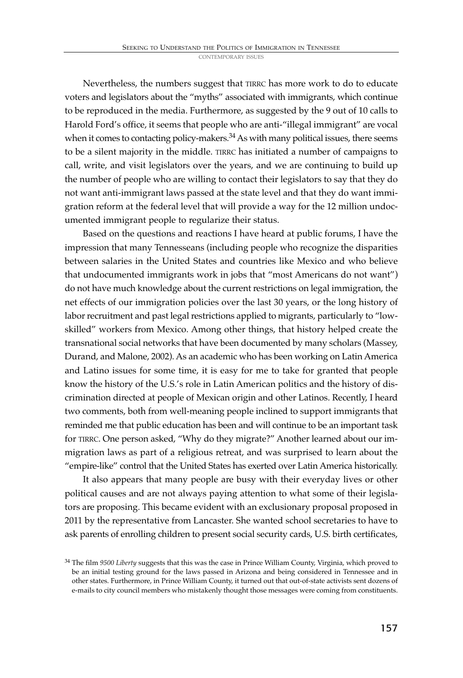Nevertheless, the numbers suggest that TIRRC has more work to do to educate voters and legislators about the "myths" associated with immigrants, which continue to be reproduced in the media. Furthermore, as suggested by the 9 out of 10 calls to Harold Ford's office, it seems that people who are anti-"illegal immigrant" are vocal when it comes to contacting policy-makers.<sup>34</sup> As with many political issues, there seems to be a silent majority in the middle. TIRRC has initiated a number of campaigns to call, write, and visit legislators over the years, and we are continuing to build up the number of people who are willing to contact their legislators to say that they do not want anti-immigrant laws passed at the state level and that they do want immigration reform at the federal level that will provide a way for the 12 million undocumented immigrant people to regularize their status.

Based on the questions and reactions I have heard at public forums, I have the impression that many Tennesseans (including people who recognize the disparities between salaries in the United States and countries like Mexico and who believe that undocumented immigrants work in jobs that "most Americans do not want") do not have much knowledge about the current restrictions on legal immigration, the net effects of our immigration policies over the last 30 years, or the long history of labor recruitment and past legal restrictions applied to migrants, particularly to "lowskilled" workers from Mexico. Among other things, that history helped create the transnational social networks that have been documented by many scholars (Massey, Durand, and Malone, 2002). As an academic who has been working on Latin America and Latino issues for some time, it is easy for me to take for granted that people know the history of the U.S.'s role in Latin American politics and the history of discrimination directed at people of Mexican origin and other Latinos. Recently, I heard two comments, both from well-meaning people inclined to support immigrants that reminded me that public education has been and will continue to be an important task for TIRRC. One person asked, "Why do they migrate?" Another learned about our immigration laws as part of a religious retreat, and was surprised to learn about the "empire-like" control that the United States has exerted over Latin America historically.

It also appears that many people are busy with their everyday lives or other political causes and are not always paying attention to what some of their legislators are proposing. This became evident with an exclusionary proposal proposed in 2011 by the representative from Lancaster. She wanted school secretaries to have to ask parents of enrolling children to present social security cards, U.S. birth certificates,

<sup>34</sup> The film *9500 Liberty* suggests that this was the case in Prince William County, Virginia, which proved to be an initial testing ground for the laws passed in Arizona and being considered in Tennessee and in other states. Furthermore, in Prince William County, it turned out that out-of-state activists sent dozens of e-mails to city council members who mistakenly thought those messages were coming from constituents.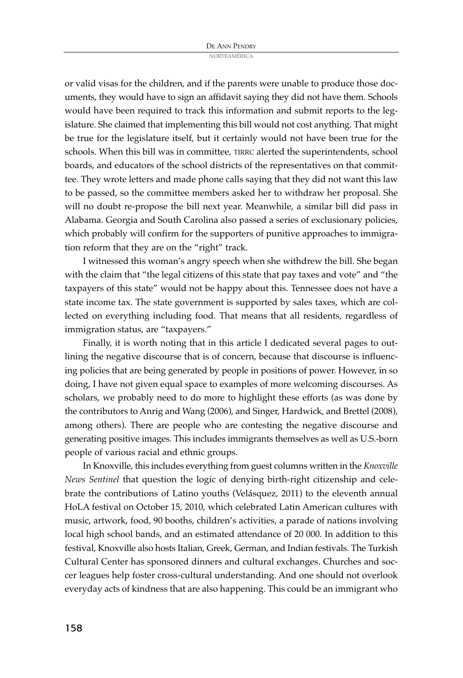or valid visas for the children, and if the parents were unable to produce those documents, they would have to sign an affidavit saying they did not have them. Schools would have been required to track this information and submit reports to the legislature. She claimed that implementing this bill would not cost anything. That might be true for the legislature itself, but it certainly would not have been true for the schools. When this bill was in committee, TIRRC alerted the superintendents, school boards, and educators of the school districts of the representatives on that committee. They wrote letters and made phone calls saying that they did not want this law to be passed, so the committee members asked her to withdraw her proposal. She will no doubt re-propose the bill next year. Meanwhile, a similar bill did pass in Alabama. Georgia and South Carolina also passed a series of exclusionary policies, which probably will confirm for the supporters of punitive approaches to immigration reform that they are on the "right" track.

I witnessed this woman's angry speech when she withdrew the bill. She began with the claim that "the legal citizens of this state that pay taxes and vote" and "the taxpayers of this state" would not be happy about this. Tennessee does not have a state income tax. The state government is supported by sales taxes, which are collected on everything including food. That means that all residents, regardless of immigration status, are "taxpayers."

Finally, it is worth noting that in this article I dedicated several pages to outlining the negative discourse that is of concern, because that discourse is influencing policies that are being generated by people in positions of power. However, in so doing, I have not given equal space to examples of more welcoming discourses. As scholars, we probably need to do more to highlight these efforts (as was done by the contributors to Anrig and Wang (2006), and Singer, Hardwick, and Brettel (2008), among others). There are people who are contesting the negative discourse and generating positive images. This includes immigrants themselves as well as U.S.-born people of various racial and ethnic groups.

In Knoxville, this includes everything from guest columns written in the *Knoxville News Sentinel* that question the logic of denying birth-right citizenship and celebrate the contributions of Latino youths (Velásquez, 2011) to the eleventh annual HoLA festival on October 15, 2010, which celebrated Latin American cultures with music, artwork, food, 90 booths, children's activities, a parade of nations involving local high school bands, and an estimated attendance of 20 000. In addition to this festival, Knoxville also hosts Italian, Greek, German, and Indian festivals. The Turkish Cultural Center has sponsored dinners and cultural exchanges. Churches and soccer leagues help foster cross-cultural understanding. And one should not overlook everyday acts of kindness that are also happening. This could be an immigrant who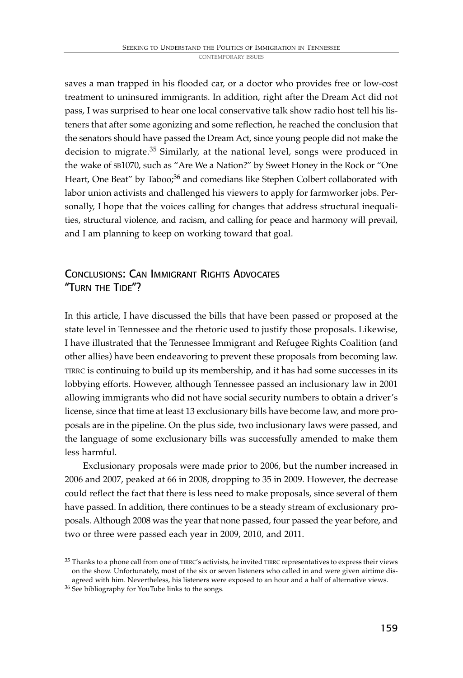saves a man trapped in his flooded car, or a doctor who provides free or low-cost treatment to uninsured immigrants. In addition, right after the Dream Act did not pass, I was surprised to hear one local conservative talk show radio host tell his listeners that after some agonizing and some reflection, he reached the conclusion that the senators should have passed the Dream Act, since young people did not make the decision to migrate. <sup>35</sup> Similarly, at the national level, songs were produced in the wake of SB1070, such as "Are We a Nation?" by Sweet Honey in the Rock or "One Heart, One Beat" by Taboo;<sup>36</sup> and comedians like Stephen Colbert collaborated with labor union activists and challenged his viewers to apply for farmworker jobs. Personally, I hope that the voices calling for changes that address structural inequalities, structural violence, and racism, and calling for peace and harmony will prevail, and I am planning to keep on working toward that goal.

# CONCLUSIONS: CAN IMMIGRANT RIGHTS ADVOCATES "TURN THE TIDE"?

In this article, I have discussed the bills that have been passed or proposed at the state level in Tennessee and the rhetoric used to justify those proposals. Likewise, I have illustrated that the Tennessee Immigrant and Refugee Rights Coalition (and other allies) have been endeavoring to prevent these proposals from becoming law. TIRRC is continuing to build up its membership, and it has had some successes in its lobbying efforts. However, although Tennessee passed an inclusionary law in 2001 allowing immigrants who did not have social security numbers to obtain a driver's license, since that time at least 13 exclusionary bills have become law, and more proposals are in the pipeline. On the plus side, two inclusionary laws were passed, and the language of some exclusionary bills was successfully amended to make them less harmful.

Exclusionary proposals were made prior to 2006, but the number increased in 2006 and 2007, peaked at 66 in 2008, dropping to 35 in 2009. However, the decrease could reflect the fact that there is less need to make proposals, since several of them have passed. In addition, there continues to be a steady stream of exclusionary proposals. Although 2008 was the year that none passed, four passed the year before, and two or three were passed each year in 2009, 2010, and 2011.

<sup>35</sup> Thanks to a phone call from one of TIRRC's activists, he invited TIRRC representatives to express their views on the show. Unfortunately, most of the six or seven listeners who called in and were given airtime disagreed with him. Nevertheless, his listeners were exposed to an hour and a half of alternative views.

<sup>36</sup> See bibliography for YouTube links to the songs.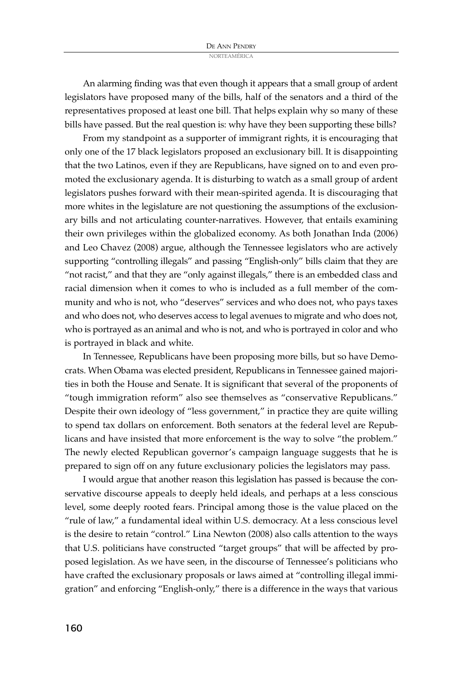An alarming finding was that even though it appears that a small group of ardent legislators have proposed many of the bills, half of the senators and a third of the representatives proposed at least one bill. That helps explain why so many of these bills have passed. But the real question is: why have they been supporting these bills?

From my standpoint as a supporter of immigrant rights, it is encouraging that only one of the 17 black legislators proposed an exclusionary bill. It is disappointing that the two Latinos, even if they are Republicans, have signed on to and even promoted the exclusionary agenda. It is disturbing to watch as a small group of ardent legislators pushes forward with their mean-spirited agenda. It is discouraging that more whites in the legislature are not questioning the assumptions of the exclusionary bills and not articulating counter-narratives. However, that entails examining their own privileges within the globalized economy. As both Jonathan Inda (2006) and Leo Chavez (2008) argue, although the Tennessee legislators who are actively supporting "controlling illegals" and passing "English-only" bills claim that they are "not racist," and that they are "only against illegals," there is an embedded class and racial dimension when it comes to who is included as a full member of the community and who is not, who "deserves" services and who does not, who pays taxes and who does not, who deserves access to legal avenues to migrate and who does not, who is portrayed as an animal and who is not, and who is portrayed in color and who is portrayed in black and white.

In Tennessee, Republicans have been proposing more bills, but so have Democrats. When Obama was elected president, Republicans in Tennessee gained majorities in both the House and Senate. It is significant that several of the proponents of "tough immigration reform" also see themselves as "conservative Republicans." Despite their own ideology of "less government," in practice they are quite willing to spend tax dollars on enforcement. Both senators at the federal level are Republicans and have insisted that more enforcement is the way to solve "the problem." The newly elected Republican governor's campaign language suggests that he is prepared to sign off on any future exclusionary policies the legislators may pass.

I would argue that another reason this legislation has passed is because the conservative discourse appeals to deeply held ideals, and perhaps at a less conscious level, some deeply rooted fears. Principal among those is the value placed on the "rule of law," a fundamental ideal within U.S. democracy. At a less conscious level is the desire to retain "control." Lina Newton (2008) also calls attention to the ways that U.S. politicians have constructed "target groups" that will be affected by proposed legislation. As we have seen, in the discourse of Tennessee's politicians who have crafted the exclusionary proposals or laws aimed at "controlling illegal immigration" and enforcing "English-only," there is a difference in the ways that various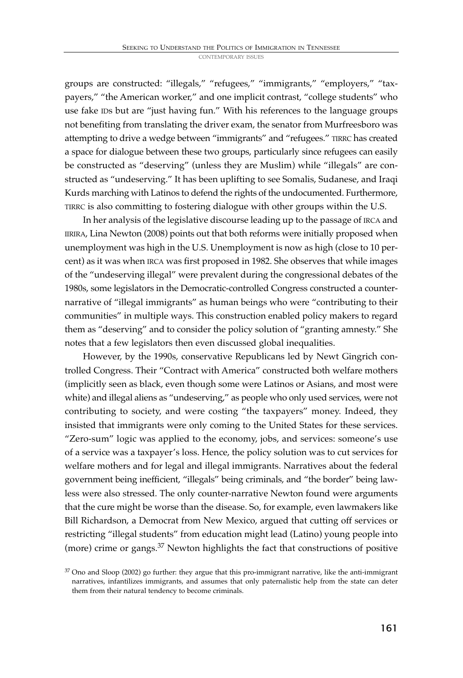groups are constructed: "illegals," "refugees," "immigrants," "employers," "taxpayers," "the American worker," and one implicit contrast, "college students" who use fake IDs but are "just having fun." With his references to the language groups not benefiting from translating the driver exam, the senator from Murfreesboro was attempting to drive a wedge between "immigrants" and "refugees." TIRRC has created a space for dialogue between these two groups, particularly since refugees can easily be constructed as "deserving" (unless they are Muslim) while "illegals" are constructed as "undeserving." It has been uplifting to see Somalis, Sudanese, and Iraqi Kurds marching with Latinos to defend the rights of the undocumented. Furthermore, TIRRC is also committing to fostering dialogue with other groups within the U.S.

In her analysis of the legislative discourse leading up to the passage of IRCA and IIRIRA, Lina Newton (2008) points out that both reforms were initially proposed when unemployment was high in the U.S. Unemployment is now as high (close to 10 percent) as it was when IRCA was first proposed in 1982. She observes that while images of the "undeserving illegal" were prevalent during the congressional debates of the 1980s, some legislators in the Democratic-controlled Congress constructed a counternarrative of "illegal immigrants" as human beings who were "contributing to their communities" in multiple ways. This construction enabled policy makers to regard them as "deserving" and to consider the policy solution of "granting amnesty." She notes that a few legislators then even discussed global inequalities.

However, by the 1990s, conservative Republicans led by Newt Gingrich controlled Congress. Their "Contract with America" constructed both welfare mothers (implicitly seen as black, even though some were Latinos or Asians, and most were white) and illegal aliens as "undeserving," as people who only used services, were not contributing to society, and were costing "the taxpayers" money. Indeed, they insisted that immigrants were only coming to the United States for these services. "Zero-sum" logic was applied to the economy, jobs, and services: someone's use of a service was a taxpayer's loss. Hence, the policy solution was to cut services for welfare mothers and for legal and illegal immigrants. Narratives about the federal government being inefficient, "illegals" being criminals, and "the border" being lawless were also stressed. The only counter-narrative Newton found were arguments that the cure might be worse than the disease. So, for example, even lawmakers like Bill Richardson, a Democrat from New Mexico, argued that cutting off services or restricting "illegal students" from education might lead (Latino) young people into (more) crime or gangs. <sup>37</sup> Newton highlights the fact that constructions of positive

 $37$  Ono and Sloop (2002) go further: they argue that this pro-immigrant narrative, like the anti-immigrant narratives, infantilizes immigrants, and assumes that only paternalistic help from the state can deter them from their natural tendency to become criminals.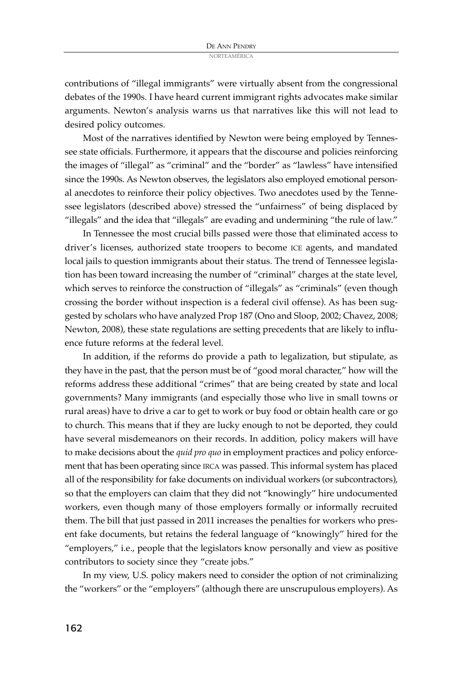contributions of "illegal immigrants" were virtually absent from the congressional debates of the 1990s. I have heard current immigrant rights advocates make similar arguments. Newton's analysis warns us that narratives like this will not lead to desired policy outcomes.

Most of the narratives identified by Newton were being employed by Tennessee state officials. Furthermore, it appears that the discourse and policies reinforcing the images of "illegal" as "criminal" and the "border" as "lawless" have intensified since the 1990s. As Newton observes, the legislators also employed emotional personal anecdotes to reinforce their policy objectives. Two anecdotes used by the Tennessee legislators (described above) stressed the "unfairness" of being displaced by "illegals" and the idea that "illegals" are evading and undermining "the rule of law."

In Tennessee the most crucial bills passed were those that eliminated access to driver's licenses, authorized state troopers to become ICE agents, and mandated local jails to question immigrants about their status. The trend of Tennessee legislation has been toward increasing the number of "criminal" charges at the state level, which serves to reinforce the construction of "illegals" as "criminals" (even though crossing the border without inspection is a federal civil offense). As has been suggested by scholars who have analyzed Prop 187 (Ono and Sloop, 2002; Chavez, 2008; Newton, 2008), these state regulations are setting precedents that are likely to influence future reforms at the federal level.

In addition, if the reforms do provide a path to legalization, but stipulate, as they have in the past, that the person must be of "good moral character," how will the reforms address these additional "crimes" that are being created by state and local governments? Many immigrants (and especially those who live in small towns or rural areas) have to drive a car to get to work or buy food or obtain health care or go to church. This means that if they are lucky enough to not be deported, they could have several misdemeanors on their records. In addition, policy makers will have to make decisions about the *quid pro quo* in employment practices and policy enforcement that has been operating since IRCA was passed. This informal system has placed all of the responsibility for fake documents on individual workers (or subcontractors), so that the employers can claim that they did not "knowingly" hire undocumented workers, even though many of those employers formally or informally recruited them. The bill that just passed in 2011 increases the penalties for workers who present fake documents, but retains the federal language of "knowingly" hired for the "employers," i.e., people that the legislators know personally and view as positive contributors to society since they "create jobs."

In my view, U.S. policy makers need to consider the option of not criminalizing the "workers" or the "employers" (although there are unscrupulous employers). As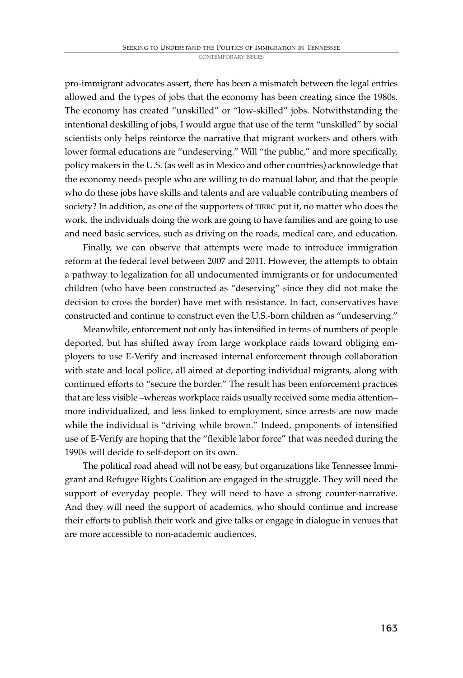pro-immigrant advocates assert, there has been a mismatch between the legal entries allowed and the types of jobs that the economy has been creating since the 1980s. The economy has created "unskilled" or "low-skilled" jobs. Notwithstanding the intentional deskilling of jobs, I would argue that use of the term "unskilled" by social scientists only helps reinforce the narrative that migrant workers and others with lower formal educations are "undeserving." Will "the public," and more specifically, policy makers in the U.S. (as well as in Mexico and other countries) acknowledge that the economy needs people who are willing to do manual labor, and that the people who do these jobs have skills and talents and are valuable contributing members of society? In addition, as one of the supporters of TIRRC put it, no matter who does the work, the individuals doing the work are going to have families and are going to use and need basic services, such as driving on the roads, medical care, and education.

Finally, we can observe that attempts were made to introduce immigration reform at the federal level between 2007 and 2011. However, the attempts to obtain a pathway to legalization for all undocumented immigrants or for undocumented children (who have been constructed as "deserving" since they did not make the decision to cross the border) have met with resistance. In fact, conservatives have constructed and continue to construct even the U.S.-born children as "undeserving."

Meanwhile, enforcement not only has intensified in terms of numbers of people deported, but has shifted away from large workplace raids toward obliging employers to use E-Verify and increased internal enforcement through collaboration with state and local police, all aimed at deporting individual migrants, along with continued efforts to "secure the border." The result has been enforcement practices that are less visible –whereas workplace raids usually received some media attention– more individualized, and less linked to employment, since arrests are now made while the individual is "driving while brown." Indeed, proponents of intensified use of E-Verify are hoping that the "flexible labor force" that was needed during the 1990s will decide to self-deport on its own.

The political road ahead will not be easy, but organizations like Tennessee Immigrant and Refugee Rights Coalition are engaged in the struggle. They will need the support of everyday people. They will need to have a strong counter-narrative. And they will need the support of academics, who should continue and increase their efforts to publish their work and give talks or engage in dialogue in venues that are more accessible to non-academic audiences.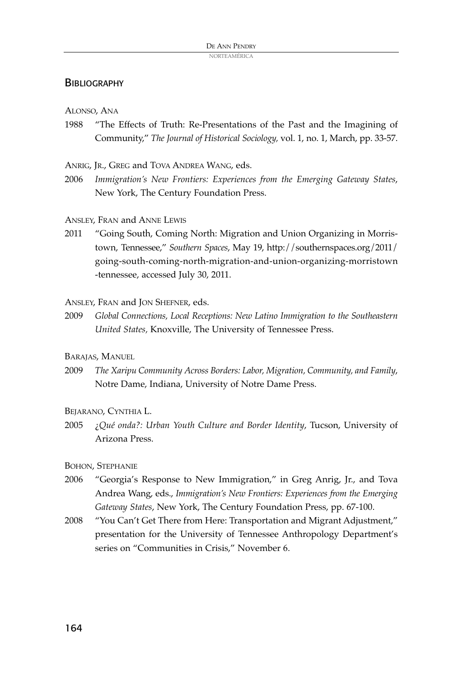#### **BIBLIOGRAPHY**

ALONSO, ANA

1988 "The Effects of Truth: Re-Presentations of the Past and the Imagining of Community," *The Journal of Historical Sociology,* vol. 1, no. 1, March, pp. 33-57.

ANRIG, JR., GREG and TOVA ANDREA WANG, eds.

- 2006 *Immigration's New Frontiers: Experiences from the Emerging Gateway States*, New York, The Century Foundation Press.
- ANSLEY, FRAN and ANNE LEWIS
- 2011 "Going South, Coming North: Migration and Union Organizing in Morristown, Tennessee," *Southern Spaces*, May 19, http://southernspaces.org/2011/ going-south-coming-north-migration-and-union-organizing-morristown -tennessee, accessed July 30, 2011.

ANSLEY, FRAN and JON SHEFNER, eds.

2009 *Global Connections, Local Receptions: New Latino Immigration to the Southeastern United States,* Knoxville, The University of Tennessee Press.

BARAJAS, MANUEL

2009 *The Xaripu Community Across Borders: Labor, Migration, Community, and Family*, Notre Dame, Indiana, University of Notre Dame Press.

BEJARANO, CYNTHIA L.

2005 ¿*Qué onda?: Urban Youth Culture and Border Identity*, Tucson, University of Arizona Press.

BOHON, STEPHANIE

- 2006 "Georgia's Response to New Immigration," in Greg Anrig, Jr., and Tova Andrea Wang, eds., *Immigration's New Frontiers: Experiences from the Emerging Gateway States*, New York, The Century Foundation Press, pp. 67-100.
- 2008 "You Can't Get There from Here: Transportation and Migrant Adjustment," presentation for the University of Tennessee Anthropology Department's series on "Communities in Crisis," November 6.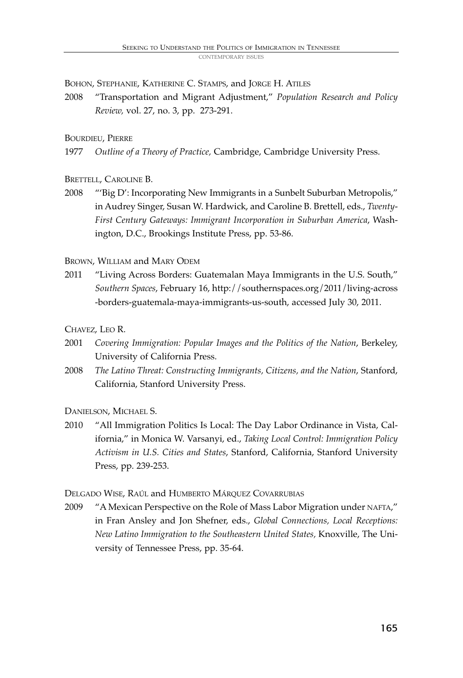BOHON, STEPHANIE, KATHERINE C. STAMPS, and JORGE H. ATILES

2008 "Transportation and Migrant Adjustment," *Population Research and Policy Review,* vol. 27, no. 3, pp. 273-291.

#### BOURDIEU, PIERRE

1977 *Outline of a Theory of Practice,* Cambridge, Cambridge University Press.

#### BRETTELL, CAROLINE B.

2008 "'Big D': Incorporating New Immigrants in a Sunbelt Suburban Metropolis," in Audrey Singer, Susan W. Hardwick, and Caroline B. Brettell, eds., *Twenty-First Century Gateways: Immigrant Incorporation in Suburban America*, Washington, D.C., Brookings Institute Press, pp. 53-86.

#### BROWN, WILLIAM and MARY ODEM

2011 "Living Across Borders: Guatemalan Maya Immigrants in the U.S. South," *Southern Spaces*, February 16, http://southernspaces.org/2011/living-across -borders-guatemala-maya-immigrants-us-south, accessed July 30, 2011.

#### CHAVEZ, LEO R.

- 2001 *Covering Immigration: Popular Images and the Politics of the Nation*, Berkeley, University of California Press.
- 2008 *The Latino Threat: Constructing Immigrants, Citizens, and the Nation*, Stanford, California, Stanford University Press.

DANIELSON, MICHAEL S.

2010 "All Immigration Politics Is Local: The Day Labor Ordinance in Vista, California," in Monica W. Varsanyi, ed., *Taking Local Control: Immigration Policy Activism in U.S. Cities and States*, Stanford, California, Stanford University Press, pp. 239-253.

DELGADO WISE, RAÚL and HUMBERTO MÁRQUEZ COVARRUBIAS

2009 "A Mexican Perspective on the Role of Mass Labor Migration under NAFTA," in Fran Ansley and Jon Shefner, eds., *Global Connections, Local Receptions: New Latino Immigration to the Southeastern United States,* Knoxville, The University of Tennessee Press, pp. 35-64.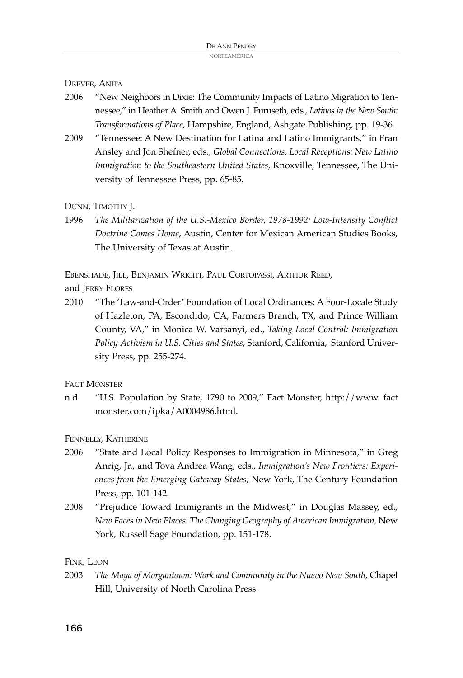DREVER, ANITA

- 2006 "New Neighbors in Dixie: The Community Impacts of Latino Migration to Tennessee," in Heather A. Smith and Owen J. Furuseth, eds., *Latinos in the New South: Transformations of Place*, Hampshire, England, Ashgate Publishing, pp. 19-36.
- 2009 "Tennessee: A New Destination for Latina and Latino Immigrants," in Fran Ansley and Jon Shefner, eds., *Global Connections, Local Receptions: New Latino Immigration to the Southeastern United States,* Knoxville, Tennessee, The University of Tennessee Press, pp. 65-85.

DUNN, TIMOTHY J.

1996 *The Militarization of the U.S.-Mexico Border, 1978-1992: Low-Intensity Conflict Doctrine Comes Home*, Austin, Center for Mexican American Studies Books, The University of Texas at Austin.

EBENSHADE, JILL, BENJAMIN WRIGHT, PAUL CORTOPASSI, ARTHUR REED,

and JERRY FLORES

2010 "The 'Law-and-Order' Foundation of Local Ordinances: A Four-Locale Study of Hazleton, PA, Escondido, CA, Farmers Branch, TX, and Prince William County, VA," in Monica W. Varsanyi, ed., *Taking Local Control: Immigration Policy Activism in U.S. Cities and States*, Stanford, California, Stanford University Press, pp. 255-274.

FACT MONSTER

n.d. "U.S. Population by State, 1790 to 2009," Fact Monster, http://www. fact monster.com/ipka/A0004986.html.

FENNELLY, KATHERINE

- 2006 "State and Local Policy Responses to Immigration in Minnesota," in Greg Anrig, Jr., and Tova Andrea Wang, eds., *Immigration's New Frontiers: Experiences from the Emerging Gateway States*, New York, The Century Foundation Press, pp. 101-142.
- 2008 "Prejudice Toward Immigrants in the Midwest," in Douglas Massey, ed., *New Facesin New Places: The Changing Geography of American Immigration,* New York, Russell Sage Foundation, pp. 151-178.

FINK, LEON

2003 *The Maya of Morgantown: Work and Community in the Nuevo New South*, Chapel Hill, University of North Carolina Press.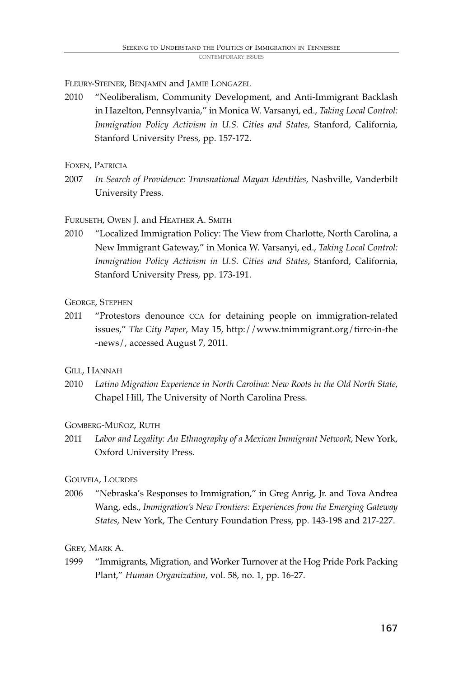FLEURY-STEINER, BENJAMIN and JAMIE LONGAZEL

- 2010 "Neoliberalism, Community Development, and Anti-Immigrant Backlash in Hazelton, Pennsylvania," in Monica W. Varsanyi, ed., *Taking Local Control: Immigration Policy Activism in U.S. Cities and States,* Stanford, California, Stanford University Press, pp. 157-172.
- FOXEN, PATRICIA
- 2007 *In Search of Providence: Transnational Mayan Identities*, Nashville, Vanderbilt University Press.

#### FURUSETH, OWEN J. and HEATHER A. SMITH

2010 "Localized Immigration Policy: The View from Charlotte, North Carolina, a New Immigrant Gateway," in Monica W. Varsanyi, ed., *Taking Local Control: Immigration Policy Activism in U.S. Cities and States*, Stanford, California, Stanford University Press, pp. 173-191.

#### GEORGE, STEPHEN

2011 "Protestors denounce CCA for detaining people on immigration-related issues," *The City Paper*, May 15, http://www.tnimmigrant.org/tirrc-in-the -news/, accessed August 7, 2011.

#### GILL, HANNAH

2010 *Latino Migration Experience in North Carolina: New Roots in the Old North State*, Chapel Hill, The University of North Carolina Press.

#### GOMBERG-MUÑOZ, RUTH

2011 *Labor and Legality: An Ethnography of a Mexican Immigrant Network*, New York, Oxford University Press.

#### GOUVEIA, LOURDES

2006 "Nebraska's Responses to Immigration," in Greg Anrig, Jr. and Tova Andrea Wang, eds., *Immigration's New Frontiers: Experiences from the Emerging Gateway States*, New York, The Century Foundation Press, pp. 143-198 and 217-227.

#### GREY, MARK A.

1999 "Immigrants, Migration, and Worker Turnover at the Hog Pride Pork Packing Plant," *Human Organization,* vol. 58, no. 1, pp. 16-27.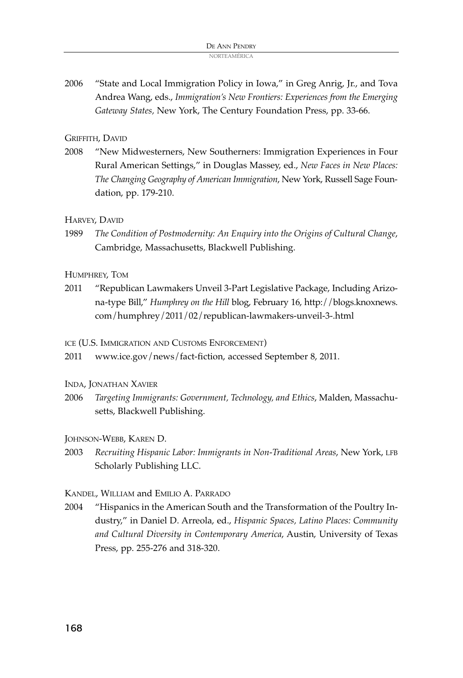2006 "State and Local Immigration Policy in Iowa," in Greg Anrig, Jr., and Tova Andrea Wang, eds., *Immigration's New Frontiers: Experiences from the Emerging Gateway States,* New York, The Century Foundation Press, pp. 33-66.

#### GRIFFITH, DAVID

2008 "New Midwesterners, New Southerners: Immigration Experiences in Four Rural American Settings," in Douglas Massey, ed., *New Faces in New Places: The Changing Geography of American Immigration*, New York, Russell Sage Foundation, pp. 179-210.

#### HARVEY, DAVID

1989 *The Condition of Postmodernity: An Enquiry into the Origins of Cultural Change*, Cambridge, Massachusetts, Blackwell Publishing.

#### HUMPHREY, TOM

2011 "Republican Lawmakers Unveil 3-Part Legislative Package, Including Arizona-type Bill," *Humphrey on the Hill* blog, February 16, http://blogs.knoxnews. com/humphrey/2011/02/republican-lawmakers-unveil-3-.html

ICE (U.S. IMMIGRATION AND CUSTOMS ENFORCEMENT)

- 2011 www.ice.gov/news/fact-fiction, accessed September 8, 2011.
- INDA, JONATHAN XAVIER
- 2006 *Targeting Immigrants: Government, Technology, and Ethics*, Malden, Massachusetts, Blackwell Publishing.

#### JOHNSON-WEBB, KAREN D.

2003 *Recruiting Hispanic Labor: Immigrants in Non-Traditional Areas*, New York, LFB Scholarly Publishing LLC.

#### KANDEL, WILLIAM and EMILIO A. PARRADO

2004 "Hispanics in the American South and the Transformation of the Poultry Industry," in Daniel D. Arreola, ed., *Hispanic Spaces, Latino Places: Community and Cultural Diversity in Contemporary America*, Austin, University of Texas Press, pp. 255-276 and 318-320.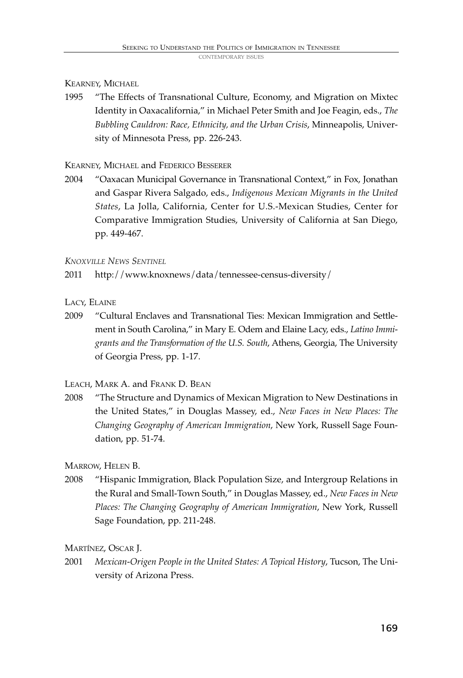KEARNEY, MICHAEL

1995 "The Effects of Transnational Culture, Economy, and Migration on Mixtec Identity in Oaxacalifornia," in Michael Peter Smith and Joe Feagin, eds., *The Bubbling Cauldron: Race, Ethnicity, and the Urban Crisis*, Minneapolis, University of Minnesota Press, pp. 226-243.

KEARNEY, MICHAEL and FEDERICO BESSERER

2004 "Oaxacan Municipal Governance in Transnational Context," in Fox, Jonathan and Gaspar Rivera Salgado, eds., *Indigenous Mexican Migrants in the United States*, La Jolla, California, Center for U.S.-Mexican Studies, Center for Comparative Immigration Studies, University of California at San Diego, pp. 449-467.

*KNOXVILLE NEWS SENTINEL*

2011 http://www.knoxnews/data/tennessee-census-diversity/

LACY, ELAINE

2009 "Cultural Enclaves and Transnational Ties: Mexican Immigration and Settlement in South Carolina," in Mary E. Odem and Elaine Lacy, eds., *Latino Immigrants and the Transformation of the U.S. South*, Athens, Georgia, The University of Georgia Press, pp. 1-17.

LEACH, MARK A. and FRANK D. BEAN

2008 "The Structure and Dynamics of Mexican Migration to New Destinations in the United States," in Douglas Massey, ed., *New Faces in New Places: The Changing Geography of American Immigration*, New York, Russell Sage Foundation, pp. 51-74.

MARROW, HELEN B.

2008 "Hispanic Immigration, Black Population Size, and Intergroup Relations in the Rural and Small-Town South," in Douglas Massey, ed., *New Faces in New Places: The Changing Geography of American Immigration*, New York, Russell Sage Foundation, pp. 211-248.

MARTÍNEZ, OSCAR J.

2001 *Mexican-Origen People in the United States: A Topical History*, Tucson, The University of Arizona Press.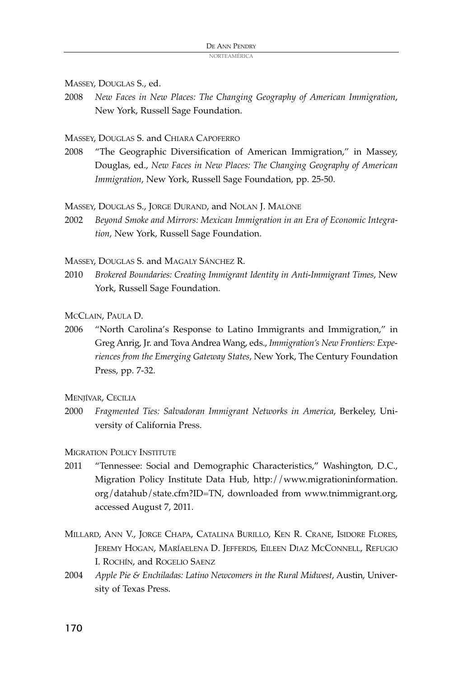MASSEY, DOUGLAS S., ed.

2008 *New Faces in New Places: The Changing Geography of American Immigration*, New York, Russell Sage Foundation.

MASSEY, DOUGLAS S. and CHIARA CAPOFERRO

2008 "The Geographic Diversification of American Immigration," in Massey, Douglas, ed., *New Faces in New Places: The Changing Geography of American Immigration*, New York, Russell Sage Foundation, pp. 25-50.

MASSEY, DOUGLAS S., JORGE DURAND, and NOLAN J. MALONE

2002 *Beyond Smoke and Mirrors: Mexican Immigration in an Era of Economic Integration*, New York, Russell Sage Foundation.

MASSEY, DOUGLAS S. and MAGALY SÁNCHEZ R.

2010 *Brokered Boundaries: Creating Immigrant Identity in Anti-Immigrant Times*, New York, Russell Sage Foundation.

MCCLAIN, PAULA D.

2006 "North Carolina's Response to Latino Immigrants and Immigration," in Greg Anrig, Jr. and Tova Andrea Wang, eds., *Immigration's New Frontiers: Experiences from the Emerging Gateway States*, New York, The Century Foundation Press, pp. 7-32.

MENIÍVAR, CECILIA

2000 *Fragmented Ties: Salvadoran Immigrant Networks in America*, Berkeley, University of California Press.

MIGRATION POLICY INSTITUTE

- 2011 "Tennessee: Social and Demographic Characteristics," Washington, D.C., Migration Policy Institute Data Hub, http://www.migrationinformation. org/datahub/state.cfm?ID=TN, downloaded from www.tnimmigrant.org, accessed August 7, 2011.
- MILLARD, ANN V., JORGE CHAPA, CATALINA BURILLO, KEN R. CRANE, ISIDORE FLORES, JEREMY HOGAN, MARÍAELENA D. JEFFERDS, EILEEN DIAZ MCCONNELL, REFUGIO I. ROCHÍN, and ROGELIO SAENZ
- 2004 *Apple Pie & Enchiladas: Latino Newcomers in the Rural Midwest*, Austin, University of Texas Press.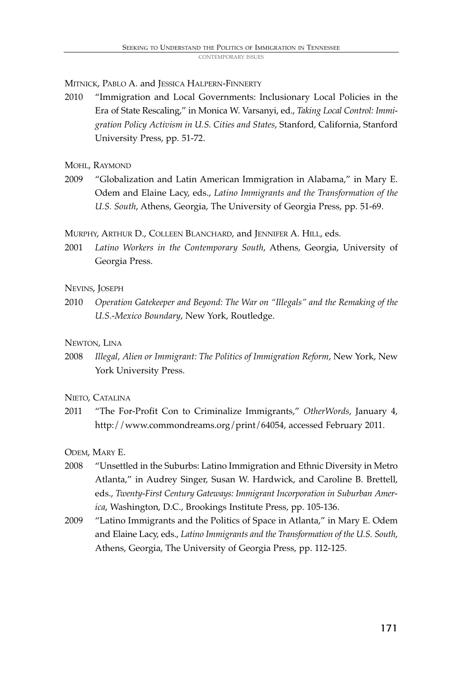MITNICK, PABLO A. and JESSICA HALPERN-FINNERTY

- 2010 "Immigration and Local Governments: Inclusionary Local Policies in the Era of State Rescaling," in Monica W. Varsanyi, ed., *Taking Local Control: Immigration Policy Activism in U.S. Cities and States*, Stanford, California, Stanford University Press, pp. 51-72.
- MOHL, RAYMOND
- 2009 "Globalization and Latin American Immigration in Alabama," in Mary E. Odem and Elaine Lacy, eds., *Latino Immigrants and the Transformation of the U.S. South*, Athens, Georgia, The University of Georgia Press, pp. 51-69.

MURPHY, ARTHUR D., COLLEEN BLANCHARD, and JENNIFER A. HILL, eds.

2001 *Latino Workers in the Contemporary South*, Athens, Georgia, University of Georgia Press.

#### NEVINS, JOSEPH

2010 *Operation Gatekeeper and Beyond: The War on "Illegals" and the Remaking of the U.S.-Mexico Boundary*, New York, Routledge.

#### NEWTON, LINA

2008 *Illegal, Alien or Immigrant: The Politics of Immigration Reform*, New York, New York University Press.

NIETO, CATALINA

2011 "The For-Profit Con to Criminalize Immigrants," *OtherWords*, January 4, http://www.commondreams.org/print/64054, accessed February 2011.

ODEM, MARY E.

- 2008 "Unsettled in the Suburbs: Latino Immigration and Ethnic Diversity in Metro Atlanta," in Audrey Singer, Susan W. Hardwick, and Caroline B. Brettell, eds., *Twenty-First Century Gateways: Immigrant Incorporation in Suburban America*, Washington, D.C., Brookings Institute Press, pp. 105-136.
- 2009 "Latino Immigrants and the Politics of Space in Atlanta," in Mary E. Odem and Elaine Lacy, eds., *Latino Immigrants and the Transformation of the U.S. South*, Athens, Georgia, The University of Georgia Press, pp. 112-125.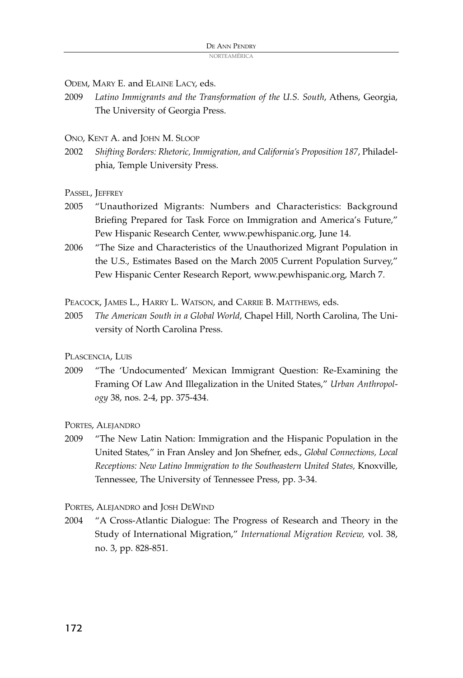ODEM, MARY E. and ELAINE LACY, eds.

- 2009 *Latino Immigrants and the Transformation of the U.S. South*, Athens, Georgia, The University of Georgia Press.
- ONO, KENT A. and JOHN M. SLOOP
- 2002 *Shifting Borders: Rhetoric, Immigration, and California's Proposition 187*, Philadelphia, Temple University Press.

PASSEL, JEFFREY

- 2005 "Unauthorized Migrants: Numbers and Characteristics: Background Briefing Prepared for Task Force on Immigration and America's Future," Pew Hispanic Research Center, www.pewhispanic.org, June 14.
- 2006 "The Size and Characteristics of the Unauthorized Migrant Population in the U.S., Estimates Based on the March 2005 Current Population Survey," Pew Hispanic Center Research Report, www.pewhispanic.org, March 7.

PEACOCK, JAMES L., HARRY L. WATSON, and CARRIE B. MATTHEWS, eds.

2005 *The American South in a Global World*, Chapel Hill, North Carolina, The University of North Carolina Press.

PLASCENCIA, LUIS

2009 "The 'Undocumented' Mexican Immigrant Question: Re-Examining the Framing Of Law And Illegalization in the United States," *Urban Anthropology* 38, nos. 2-4, pp. 375-434.

PORTES, ALEJANDRO

2009 "The New Latin Nation: Immigration and the Hispanic Population in the United States," in Fran Ansley and Jon Shefner, eds., *Global Connections, Local Receptions: New Latino Immigration to the Southeastern United States,* Knoxville, Tennessee, The University of Tennessee Press, pp. 3-34.

PORTES, ALEJANDRO and JOSH DEWIND

2004 "A Cross-Atlantic Dialogue: The Progress of Research and Theory in the Study of International Migration," *International Migration Review,* vol. 38, no. 3, pp. 828-851.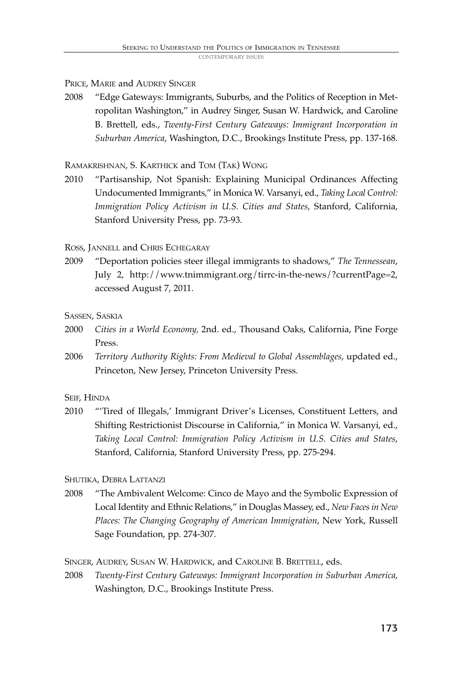PRICE, MARIE and AUDREY SINGER

2008 "Edge Gateways: Immigrants, Suburbs, and the Politics of Reception in Metropolitan Washington," in Audrey Singer, Susan W. Hardwick, and Caroline B. Brettell, eds., *Twenty-First Century Gateways: Immigrant Incorporation in Suburban America*, Washington, D.C., Brookings Institute Press, pp. 137-168.

RAMAKRISHNAN, S. KARTHICK and TOM (TAK) WONG

2010 "Partisanship, Not Spanish: Explaining Municipal Ordinances Affecting Undocumented Immigrants," in Monica W. Varsanyi, ed., *Taking Local Control: Immigration Policy Activism in U.S. Cities and States*, Stanford, California, Stanford University Press, pp. 73-93.

ROSS, JANNELL and CHRIS ECHEGARAY

2009 "Deportation policies steer illegal immigrants to shadows," *The Tennessean*, July 2, http://www.tnimmigrant.org/tirrc-in-the-news/?currentPage=2, accessed August 7, 2011.

SASSEN, SASKIA

- 2000 *Cities in a World Economy,* 2nd. ed., Thousand Oaks, California, Pine Forge Press.
- 2006 *Territory Authority Rights: From Medieval to Global Assemblages*, updated ed., Princeton, New Jersey, Princeton University Press.

SEIF, HINDA

2010 "'Tired of Illegals,' Immigrant Driver's Licenses, Constituent Letters, and Shifting Restrictionist Discourse in California," in Monica W. Varsanyi, ed., *Taking Local Control: Immigration Policy Activism in U.S. Cities and States*, Stanford, California, Stanford University Press, pp. 275-294.

SHUTIKA, DEBRA LATTANZI

2008 "The Ambivalent Welcome: Cinco de Mayo and the Symbolic Expression of Local Identity and Ethnic Relations," in Douglas Massey, ed., *New Facesin New Places: The Changing Geography of American Immigration*, New York, Russell Sage Foundation, pp. 274-307.

SINGER, AUDREY, SUSAN W. HARDWICK, and CAROLINE B. BRETTELL, eds.

2008 *Twenty-First Century Gateways: Immigrant Incorporation in Suburban America*, Washington, D.C., Brookings Institute Press.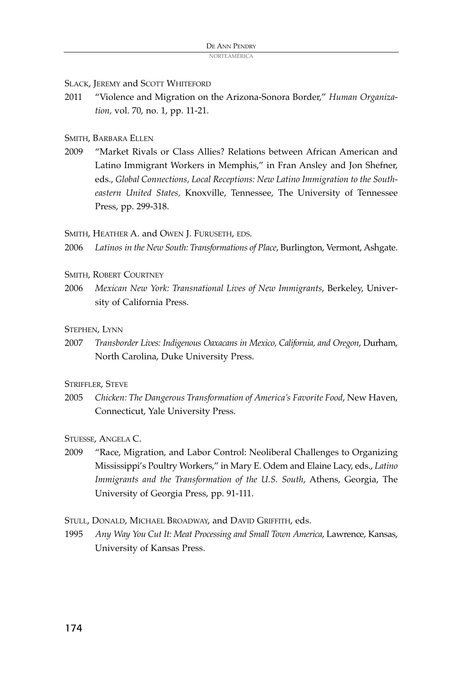SLACK, JEREMY and SCOTT WHITEFORD

2011 "Violence and Migration on the Arizona-Sonora Border," *Human Organization,* vol. 70, no. 1, pp. 11-21.

#### SMITH, BARBARA ELLEN

2009 "Market Rivals or Class Allies? Relations between African American and Latino Immigrant Workers in Memphis," in Fran Ansley and Jon Shefner, eds., *Global Connections, Local Receptions: New Latino Immigration to the Southeastern United States,* Knoxville, Tennessee, The University of Tennessee Press, pp. 299-318.

SMITH, HEATHER A. and OWEN J. FURUSETH, EDS.

2006 *Latinos in the New South: Transformations of Place*, Burlington, Vermont, Ashgate.

SMITH, ROBERT COURTNEY

2006 *Mexican New York: Transnational Lives of New Immigrants*, Berkeley, University of California Press.

#### STEPHEN, LYNN

2007 *Transborder Lives: Indigenous Oaxacans in Mexico, California, and Oregon*, Durham, North Carolina, Duke University Press.

#### STRIFFLER, STEVE

2005 *Chicken: The Dangerous Transformation of America's Favorite Food*, New Haven, Connecticut, Yale University Press.

STUESSE, ANGELA C.

2009 "Race, Migration, and Labor Control: Neoliberal Challenges to Organizing Mississippi's Poultry Workers," in Mary E. Odem and Elaine Lacy, eds., *Latino Immigrants and the Transformation of the U.S. South*, Athens, Georgia, The University of Georgia Press, pp. 91-111.

STULL, DONALD, MICHAEL BROADWAY, and DAVID GRIFFITH, eds.

1995 *Any Way You Cut It: Meat Processing and Small Town America*, Lawrence, Kansas, University of Kansas Press.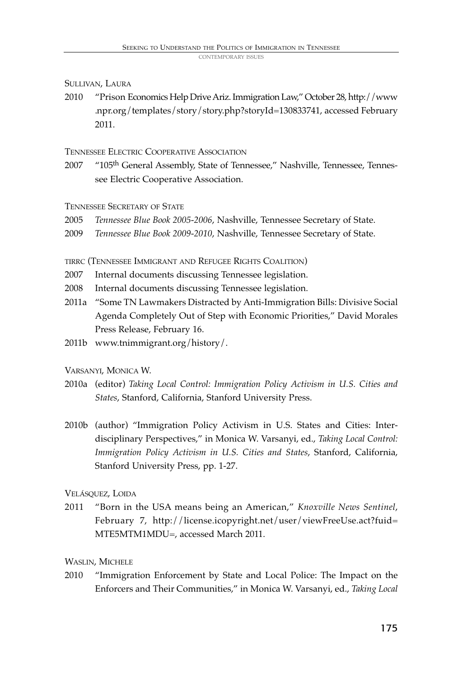#### SULLIVAN, LAURA

2010 "Prison Economics Help DriveAriz.Immigration Law," October 28, http://www .npr.org/templates/story/story.php?storyId=130833741, accessed February 2011.

#### TENNESSEE ELECTRIC COOPERATIVE ASSOCIATION

2007 "105<sup>th</sup> General Assembly, State of Tennessee," Nashville, Tennessee, Tennessee Electric Cooperative Association.

TENNESSEE SECRETARY OF STATE

- 2005 *Tennessee Blue Book 2005-2006*, Nashville, Tennessee Secretary of State.
- 2009 *Tennessee Blue Book 2009-2010*, Nashville, Tennessee Secretary of State.

TIRRC (TENNESSEE IMMIGRANT AND REFUGEE RIGHTS COALITION)

- 2007 Internal documents discussing Tennessee legislation.
- 2008 Internal documents discussing Tennessee legislation.
- 2011a "Some TN Lawmakers Distracted by Anti-Immigration Bills: Divisive Social Agenda Completely Out of Step with Economic Priorities," David Morales Press Release, February 16.
- 2011b www.tnimmigrant.org/history/.

VARSANYI, MONICA W.

- 2010a (editor) *Taking Local Control: Immigration Policy Activism in U.S. Cities and States*, Stanford, California, Stanford University Press.
- 2010b (author) "Immigration Policy Activism in U.S. States and Cities: Interdisciplinary Perspectives," in Monica W. Varsanyi, ed., *Taking Local Control: Immigration Policy Activism in U.S. Cities and States*, Stanford, California, Stanford University Press, pp. 1-27.

#### VELÁSQUEZ, LOIDA

2011 "Born in the USA means being an American," *Knoxville News Sentinel*, February 7, http://license.icopyright.net/user/viewFreeUse.act?fuid= MTE5MTM1MDU=, accessed March 2011.

#### WASLIN, MICHELE

2010 "Immigration Enforcement by State and Local Police: The Impact on the Enforcers and Their Communities," in Monica W. Varsanyi, ed., *Taking Local*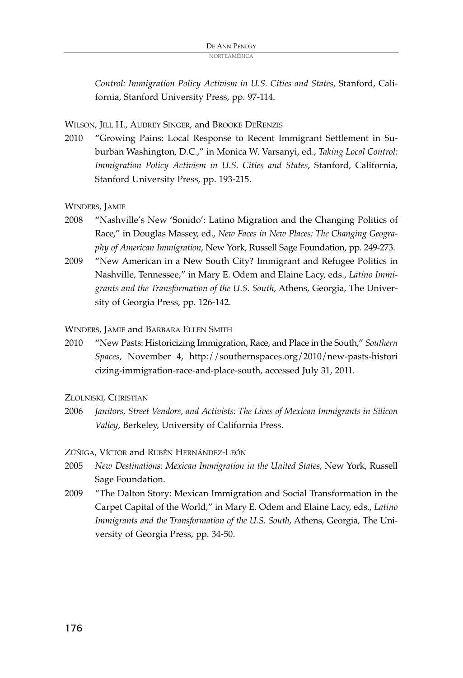*Control: Immigration Policy Activism in U.S. Cities and States*, Stanford, California, Stanford University Press, pp. 97-114.

WILSON, JILL H., AUDREY SINGER, and BROOKE DERENZIS

2010 "Growing Pains: Local Response to Recent Immigrant Settlement in Suburban Washington, D.C.," in Monica W. Varsanyi, ed., *Taking Local Control: Immigration Policy Activism in U.S. Cities and States*, Stanford, California, Stanford University Press, pp. 193-215.

WINDERS, JAMIE

- 2008 "Nashville's New 'Sonido': Latino Migration and the Changing Politics of Race," in Douglas Massey, ed., *New Faces in New Places: The Changing Geography of American Immigration*, New York, Russell Sage Foundation, pp. 249-273.
- 2009 "New American in a New South City? Immigrant and Refugee Politics in Nashville, Tennessee," in Mary E. Odem and Elaine Lacy, eds., *Latino Immigrants and the Transformation of the U.S. South*, Athens, Georgia, The University of Georgia Press, pp. 126-142.

WINDERS, JAMIE and BARBARA ELLEN SMITH

2010 "New Pasts: Historicizing Immigration, Race, and Place in the South," *Southern Spaces*, November 4, http://southernspaces.org/2010/new-pasts-histori cizing-immigration-race-and-place-south, accessed July 31, 2011.

ZLOLNISKI, CHRISTIAN

2006 *Janitors, Street Vendors, and Activists: The Lives of Mexican Immigrants in Silicon Valley*, Berkeley, University of California Press.

ZÚÑIGA, VÍCTOR and RUBÉN HERNÁNDEZ-LEÓN

- 2005 *New Destinations: Mexican Immigration in the United States*, New York, Russell Sage Foundation.
- 2009 "The Dalton Story: Mexican Immigration and Social Transformation in the Carpet Capital of the World," in Mary E. Odem and Elaine Lacy, eds., *Latino Immigrants and the Transformation of the U.S. South*, Athens, Georgia, The University of Georgia Press, pp. 34-50.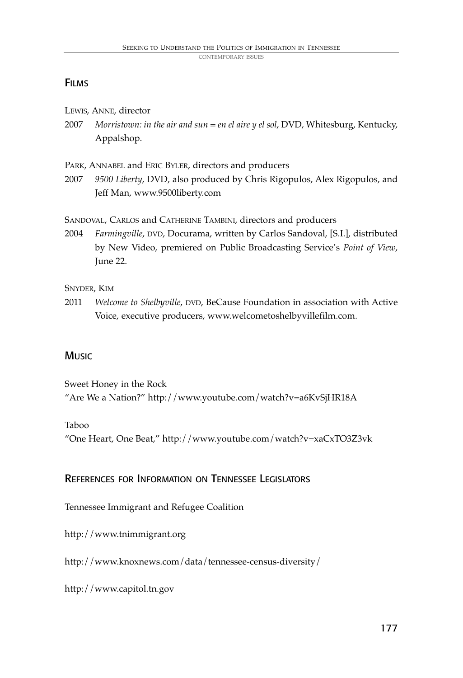# **FILMS**

- LEWIS, ANNE, director
- 2007 *Morristown: in the air and sun = en el aire y el sol*, DVD, Whitesburg, Kentucky, Appalshop.

PARK, ANNABEL and ERIC BYLER, directors and producers

2007 *9500 Liberty*, DVD, also produced by Chris Rigopulos, Alex Rigopulos, and Jeff Man, www.9500liberty.com

SANDOVAL, CARLOS and CATHERINE TAMBINI, directors and producers

2004 *Farmingville*, DVD, Docurama, written by Carlos Sandoval, [S.I.], distributed by New Video, premiered on Public Broadcasting Service's *Point of View*, June 22.

SNYDER, KIM

2011 *Welcome to Shelbyville*, DVD, BeCause Foundation in association with Active Voice, executive producers, www.welcometoshelbyvillefilm.com.

### **Music**

Sweet Honey in the Rock "Are We a Nation?" http://www.youtube.com/watch?v=a6KvSjHR18A

### Taboo

"One Heart, One Beat," http://www.youtube.com/watch?v=xaCxTO3Z3vk

### REFERENCES FOR INFORMATION ON TENNESSEE LEGISLATORS

Tennessee Immigrant and Refugee Coalition

http://www.tnimmigrant.org

http://www.knoxnews.com/data/tennessee-census-diversity/

http://www.capitol.tn.gov